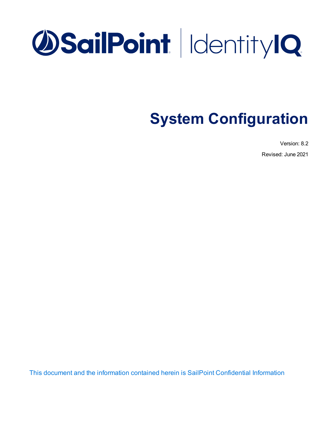# **OSailPoint** | Identity 1Q

## **System Configuration**

Version: 8.2

Revised: June 2021

This document and the information contained herein is SailPoint Confidential Information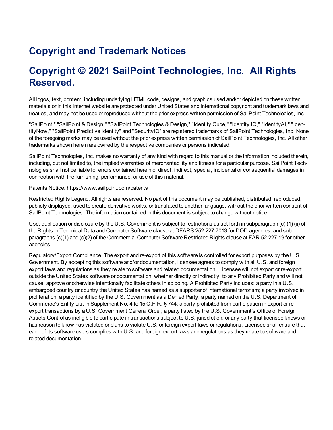## **Copyright and Trademark Notices**

### **Copyright © 2021 SailPoint Technologies, Inc. All Rights Reserved.**

All logos, text, content, including underlying HTML code, designs, and graphics used and/or depicted on these written materials or in this Internet website are protected under United States and international copyright and trademark laws and treaties, and may not be used or reproduced without the prior express written permission of SailPoint Technologies, Inc.

"SailPoint," "SailPoint & Design," "SailPoint Technologies & Design," "Identity Cube," "Identity IQ," "IdentityAI," "IdentityNow," "SailPoint Predictive Identity" and "SecurityIQ" are registered trademarks of SailPoint Technologies, Inc. None of the foregoing marks may be used without the prior express written permission of SailPoint Technologies, Inc. All other trademarks shown herein are owned by the respective companies or persons indicated.

SailPoint Technologies, Inc. makes no warranty of any kind with regard to this manual or the information included therein, including, but not limited to, the implied warranties of merchantability and fitness for a particular purpose. SailPoint Technologies shall not be liable for errors contained herein or direct, indirect, special, incidental or consequential damages in connection with the furnishing, performance, or use of this material.

Patents Notice. https://www.sailpoint.com/patents

Restricted Rights Legend. All rights are reserved. No part of this document may be published, distributed, reproduced, publicly displayed, used to create derivative works, or translated to another language, without the prior written consent of SailPoint Technologies. The information contained in this document is subject to change without notice.

Use, duplication or disclosure by the U.S. Government is subject to restrictions as set forth in subparagraph (c) (1) (ii) of the Rights in Technical Data and Computer Software clause at DFARS 252.227-7013 for DOD agencies, and subparagraphs (c)(1) and (c)(2) of the Commercial Computer Software Restricted Rights clause at FAR 52.227-19 for other agencies.

Regulatory/Export Compliance. The export and re-export of this software is controlled for export purposes by the U.S. Government. By accepting this software and/or documentation, licensee agrees to comply with all U.S. and foreign export laws and regulations as they relate to software and related documentation. Licensee will not export or re-export outside the United States software or documentation, whether directly or indirectly, to any Prohibited Party and will not cause, approve or otherwise intentionally facilitate others in so doing. A Prohibited Party includes: a party in a U.S. embargoed country or country the United States has named as a supporter of international terrorism; a party involved in proliferation; a party identified by the U.S. Government as a Denied Party; a party named on the U.S. Department of Commerce's Entity List in Supplement No. 4 to 15 C.F.R. § 744; a party prohibited from participation in export or reexport transactions by a U.S. Government General Order; a party listed by the U.S. Government's Office of Foreign Assets Control as ineligible to participate in transactions subject to U.S. jurisdiction; or any party that licensee knows or has reason to know has violated or plans to violate U.S. or foreign export laws or regulations. Licensee shall ensure that each of its software users complies with U.S. and foreign export laws and regulations as they relate to software and related documentation.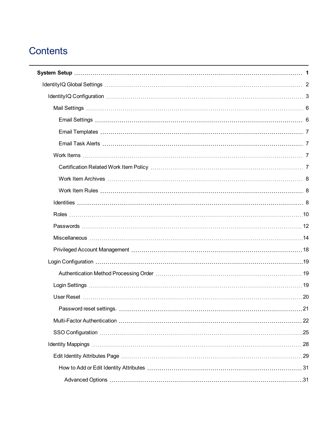## **Contents**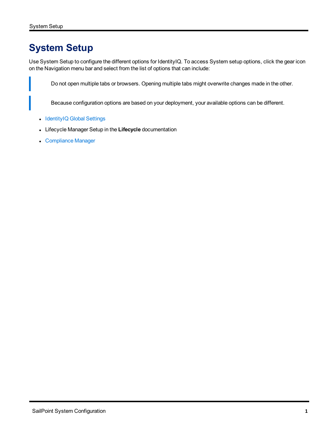## <span id="page-6-0"></span>**System Setup**

Use System Setup to configure the different options for IdentityIQ. To access System setup options, click the gear icon on the Navigation menu bar and select from the list of options that can include:

Do not open multiple tabs or browsers. Opening multiple tabs might overwrite changes made in the other.

Because configuration options are based on your deployment, your available options can be different.

- [IdentityIQ](#page-7-0) Global Settings
- **Example 2** Lifecycle Manager Setup in the Lifecycle documentation
- [Compliance](#page-61-0) Manager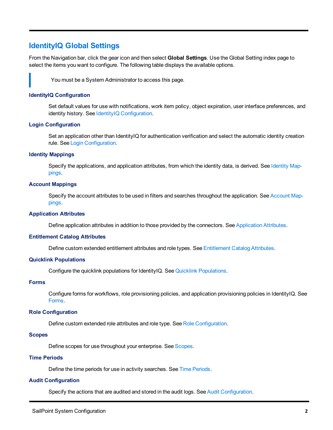#### <span id="page-7-0"></span>**IdentityIQ Global Settings**

From the Navigation bar, click the gear icon and then select **Global Settings**. Use the Global Setting index page to select the items you want to configure. The following table displays the available options.

You must be a System Administrator to access this page.

#### **IdentityIQ Configuration**

Set default values for use with notifications, work item policy, object expiration, user interface preferences, and identity history. See IdentityIQ [Configuration.](#page-8-0)

#### **Login Configuration**

Set an application other than IdentityIQ for authentication verification and select the automatic identity creation rule. See Login [Configuration](#page-24-0).

#### **Identity Mappings**

Specify the applications, and application attributes, from which the identity data, is derived. See [Identity](#page-33-0) Map[pings](#page-33-0).

#### **Account Mappings**

Specify the account attributes to be used in filters and searches throughout the application. See [Account](#page-37-1) Map[pings](#page-37-1).

#### **Application Attributes**

Define application attributes in addition to those provided by the connectors. See [Application](#page-42-0) Attributes.

#### **Entitlement Catalog Attributes**

Define custom extended entitlement attributes and role types. See [Entitlement](#page-44-1) Catalog Attributes.

#### **Quicklink Populations**

Configure the quicklink populations for IdentityIQ. See Quicklink [Populations](#page-46-1).

#### **Forms**

Configure forms for workflows, role provisioning policies, and application provisioning policies in IdentityIQ. See [Forms](#page-49-0).

#### **Role Configuration**

Define custom extended role attributes and role type. See Role [Configuration](#page-50-2).

#### **Scopes**

Define scopes for use throughout your enterprise. See [Scopes.](#page-54-1)

#### **Time Periods**

Define the time periods for use in activity searches. See Time [Periods](#page-56-0).

#### **Audit Configuration**

Specify the actions that are audited and stored in the audit logs. See Audit [Configuration.](#page-57-0)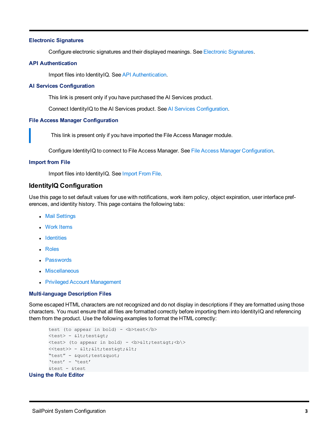#### **Electronic Signatures**

Configure electronic signatures and their displayed meanings. See Electronic [Signatures](#page-57-1).

#### **API Authentication**

Import files into IdentityIQ. See API [Authentication](#page-57-2).

#### **AI Services Configuration**

This link is present only if you have purchased the AI Services product.

Connect IdentityIQ to the AI Services product. See AI Services [Configuration](#page-58-0).

#### **File Access Manager Configuration**

This link is present only if you have imported the File Access Manager module.

Configure IdentityIQ to connect to File Access Manager. See File Access Manager [Configuration](#page-58-1).

#### **Import from File**

Import files into IdentityIQ. See [Import](#page-60-0) From File.

#### <span id="page-8-0"></span>**IdentityIQ Configuration**

Use this page to set default values for use with notifications, work item policy, object expiration, user interface preferences, and identity history. This page contains the following tabs:

- Mail [Settings](#page-11-0)
- Work [Items](#page-12-2)
- [Identities](#page-13-2)
- [Roles](#page-15-0)
- [Passwords](#page-17-0)
- [Miscellaneous](#page-19-0)
- Privileged Account [Management](#page-23-0)

#### <span id="page-8-1"></span>**Multi-language Description Files**

Some escaped HTML characters are not recognized and do not display in descriptions if they are formatted using those characters. You must ensure that all files are formatted correctly before importing them into IdentityIQ and referencing them from the product. Use the following examples to format the HTML correctly:

```
test (to appear in bold) - <b>test</b>
      <test> - &lt;test&qt;
      <test> (to appear in bold) - <br/>b>&lt; test&qt; <br/>b\>
       <<test>> - &lt; &lt; test&gt; &lt;
       "test" - " test"
       'test' - 'test'
       &test - &test
Using the Rule Editor
```
#### SailPoint System Configuration **3**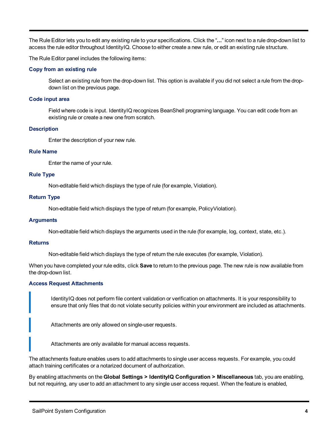The Rule Editor lets you to edit any existing rule to your specifications. Click the "**...**" icon next to a rule drop-down list to access the rule editor throughout IdentityIQ. Choose to either create a new rule, or edit an existing rule structure.

The Rule Editor panel includes the following items:

#### **Copy from an existing rule**

Select an existing rule from the drop-down list. This option is available if you did not select a rule from the dropdown list on the previous page.

#### **Code input area**

Field where code is input. IdentityIQ recognizes BeanShell programing language. You can edit code from an existing rule or create a new one from scratch.

#### **Description**

Enter the description of your new rule.

#### **Rule Name**

Enter the name of your rule.

#### **Rule Type**

Non-editable field which displays the type of rule (for example, Violation).

#### **Return Type**

Non-editable field which displays the type of return (for example, PolicyViolation).

#### **Arguments**

Non-editable field which displays the arguments used in the rule (for example, log, context, state, etc.).

#### **Returns**

Non-editable field which displays the type of return the rule executes (for example, Violation).

When you have completed your rule edits, click **Save** to return to the previous page. The new rule is now available from the drop-down list.

#### **Access Request Attachments**

IdentityIQ does not perform file content validation or verification on attachments. It is your responsibility to ensure that only files that do not violate security policies within your environment are included as attachments.

Attachments are only allowed on single-user requests.

Attachments are only available for manual access requests.

The attachments feature enables users to add attachments to single user access requests. For example, you could attach training certificates or a notarized document of authorization.

By enabling attachments on the **Global Settings > IdentityIQ Configuration > Miscellaneous** tab, you are enabling, but not requiring, any user to add an attachment to any single user access request. When the feature is enabled,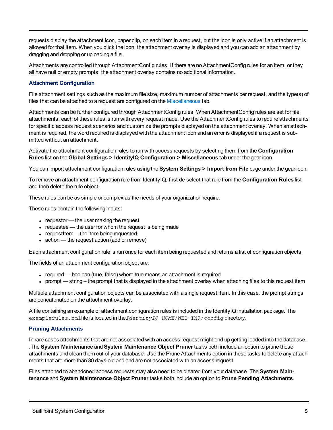requests display the attachment icon, paper clip, on each item in a request, but the icon is only active if an attachment is allowed for that item. When you click the icon, the attachment overlay is displayed and you can add an attachment by dragging and dropping or uploading a file.

Attachments are controlled through AttachmentConfig rules. If there are no AttachmentConfig rules for an item, or they all have null or empty prompts, the attachment overlay contains no additional information.

#### **Attachment Configuration**

File attachment settings such as the maximum file size, maximum number of attachments per request, and the type(s) of files that can be attached to a request are configured on the [Miscellaneous](#page-19-0) tab.

Attachments can be further configured through AttachmentConfig rules. When AttachmentConfig rules are set for file attachments, each of these rules is run with every request made. Use the AttachmentConfig rules to require attachments for specific access request scenarios and customize the prompts displayed on the attachment overlay. When an attachment is required, the word required is displayed with the attachment icon and an error is displayed if a request is submitted without an attachment.

Activate the attachment configuration rules to run with access requests by selecting them from the **Configuration Rules** list on the **Global Settings > IdentityIQ Configuration > Miscellaneous** tab under the gear icon.

You can import attachment configuration rules using the **System Settings > Import from File** page under the gear icon.

To remove an attachment configuration rule from IdentityIQ, first de-select that rule from the **Configuration Rules** list and then delete the rule object.

These rules can be as simple or complex as the needs of your organization require.

These rules contain the following inputs:

- $\bullet$  requestor the user making the request
- $\bullet$  requestee the user for whom the request is being made
- requestItem— the item being requested
- $\bullet$  action the request action (add or remove)

Each attachment configuration rule is run once for each item being requested and returns a list of configuration objects.

The fields of an attachment configuration object are:

- required boolean (true, false) where true means an attachment is required
- prompt string the prompt that is displayed in the attachment overlay when attaching files to this request item

Multiple attachment configuration objects can be associated with a single request item. In this case, the prompt strings are concatenated on the attachment overlay.

A file containing an example of attachment configuration rules is included in the IdentityIQ installation package. The examplerules.xmlfile is located in the *IdentityIQ HOME*/WEB-INF/confiq directory.

#### **Pruning Attachments**

In rare cases attachments that are not associated with an access request might end up getting loaded into the database. .The **System Maintenance** and **System Maintenance Object Pruner** tasks both include an option to prune those attachments and clean them out of your database. Use the Prune Attachments option in these tasks to delete any attachments that are more than 30 days old and and are not associated with an access request.

Files attached to abandoned access requests may also need to be cleared from your database. The **System Maintenance** and **System Maintenance Object Pruner** tasks both include an option to **Prune Pending Attachments**.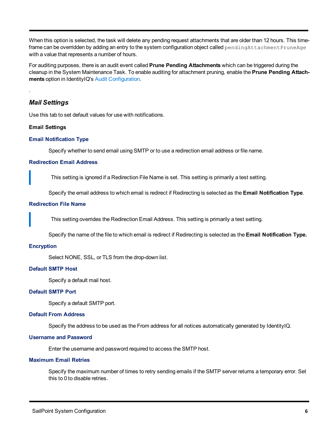When this option is selected, the task will delete any pending request attachments that are older than 12 hours. This timeframe can be overridden by adding an entry to the system configuration object called pendingAttachmentPruneAge with a value that represents a number of hours.

For auditing purposes, there is an audit event called **Prune Pending Attachments** which can be triggered during the cleanup in the System Maintenance Task. To enable auditing for attachment pruning, enable the **Prune Pending Attachments** option in IdentityIQ's Audit [Configuration](#page-57-0).

#### *Mail Settings*

<span id="page-11-0"></span>.

<span id="page-11-1"></span>Use this tab to set default values for use with notifications.

#### **Email Settings**

#### **Email Notification Type**

Specify whether to send email using SMTP or to use a redirection email address or file name.

#### **Redirection Email Address**

This setting is ignored if a Redirection File Name is set. This setting is primarily a test setting.

Specify the email address to which email is redirect if Redirecting is selected as the **Email Notification Type**.

#### **Redirection File Name**

This setting overrides the Redirection Email Address. This setting is primarily a test setting.

Specify the name of the file to which email is redirect if Redirecting is selected as the **Email Notification Type.**

#### **Encryption**

Select NONE, SSL, or TLS from the drop-down list.

#### **Default SMTP Host**

Specify a default mail host.

#### **Default SMTP Port**

Specify a default SMTP port.

#### **Default From Address**

Specify the address to be used as the From address for all notices automatically generated by IdentityIQ.

#### **Username and Password**

Enter the username and password required to access the SMTP host.

#### **Maximum Email Retries**

Specify the maximum number of times to retry sending emails if the SMTP server returns a temporary error. Set this to 0 to disable retries.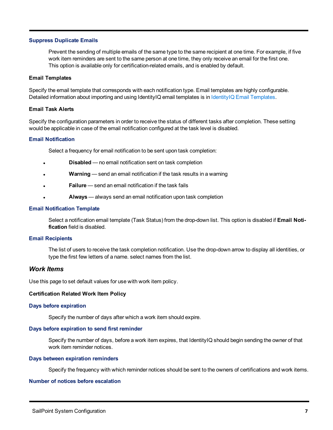#### **Suppress Duplicate Emails**

Prevent the sending of multiple emails of the same type to the same recipient at one time. For example, if five work item reminders are sent to the same person at one time, they only receive an email for the first one. This option is available only for certification-related emails, and is enabled by default.

#### <span id="page-12-0"></span>**Email Templates**

Specify the email template that corresponds with each notification type. Email templates are highly configurable. Detailed information about importing and using IdentityIQ email templates is in IdentityIQ Email [Templates](#page-70-0).

#### <span id="page-12-1"></span>**Email Task Alerts**

Specify the configuration parameters in order to receive the status of different tasks after completion. These setting would be applicable in case of the email notification configured at the task level is disabled.

#### **Email Notification**

Select a frequency for email notification to be sent upon task completion:

- **Disabled** no email notification sent on task completion
- **Warning** send an email notification if the task results in a warning
- **Failure** send an email notification if the task fails
- <sup>l</sup> **Always** always send an email notification upon task completion

#### **Email Notification Template**

Select a notification email template (Task Status) from the drop-down list. This option is disabled if **Email Notification** field is disabled.

#### **Email Recipients**

The list of users to receive the task completion notification. Use the drop-down arrow to display all identities, or type the first few letters of a name. select names from the list.

#### <span id="page-12-2"></span>*Work Items*

<span id="page-12-3"></span>Use this page to set default values for use with work item policy.

#### **Certification Related Work Item Policy**

#### **Days before expiration**

Specify the number of days after which a work item should expire.

#### **Days before expiration to send first reminder**

Specify the number of days, before a work item expires, that IdentityIQ should begin sending the owner of that work item reminder notices.

#### **Days between expiration reminders**

Specify the frequency with which reminder notices should be sent to the owners of certifications and work items.

#### **Number of notices before escalation**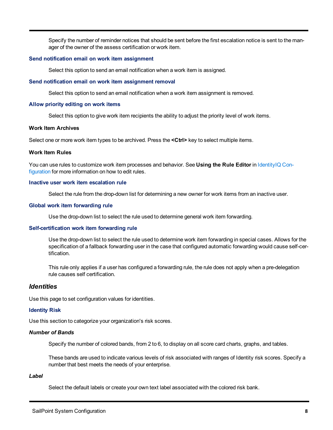Specify the number of reminder notices that should be sent before the first escalation notice is sent to the manager of the owner of the assess certification or work item.

#### **Send notification email on work item assignment**

Select this option to send an email notification when a work item is assigned.

#### **Send notification email on work item assignment removal**

Select this option to send an email notification when a work item assignment is removed.

#### **Allow priority editing on work items**

Select this option to give work item recipients the ability to adjust the priority level of work items.

#### <span id="page-13-0"></span>**Work Item Archives**

<span id="page-13-1"></span>Select one or more work item types to be archived. Press the **<Ctrl>** key to select multiple items.

#### **Work Item Rules**

You can use rules to customize work item processes and behavior. See **Using the Rule Editor** in [IdentityIQ](#page-8-0) Con[figuration](#page-8-0) for more information on how to edit rules.

#### **Inactive user work item escalation rule**

Select the rule from the drop-down list for determining a new owner for work items from an inactive user.

#### **Global work item forwarding rule**

Use the drop-down list to select the rule used to determine general work item forwarding.

#### **Self-certification work item forwarding rule**

Use the drop-down list to select the rule used to determine work item forwarding in special cases. Allows for the specification of a fallback forwarding user in the case that configured automatic forwarding would cause self-certification.

This rule only applies if a user has configured a forwarding rule, the rule does not apply when a pre-delegation rule causes self certification.

#### <span id="page-13-2"></span>*Identities*

Use this page to set configuration values for identities.

#### **Identity Risk**

Use this section to categorize your organization's risk scores.

#### *Number of Bands*

Specify the number of colored bands, from 2 to 6, to display on all score card charts, graphs, and tables.

These bands are used to indicate various levels of risk associated with ranges of Identity risk scores. Specify a number that best meets the needs of your enterprise.

#### *Label*

Select the default labels or create your own text label associated with the colored risk bank.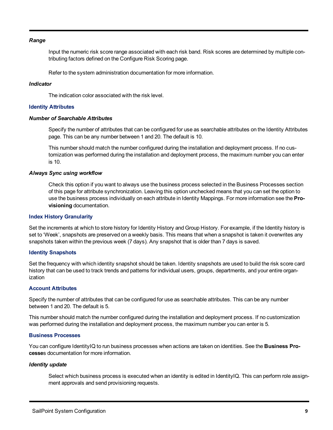#### *Range*

Input the numeric risk score range associated with each risk band. Risk scores are determined by multiple contributing factors defined on the Configure Risk Scoring page.

Refer to the system administration documentation for more information.

#### *Indicator*

The indication color associated with the risk level.

#### **Identity Attributes**

#### *Number of Searchable Attributes*

Specify the number of attributes that can be configured for use as searchable attributes on the Identity Attributes page. This can be any number between 1 and 20. The default is 10.

This number should match the number configured during the installation and deployment process. If no customization was performed during the installation and deployment process, the maximum number you can enter is 10.

#### *Always Sync using workflow*

Check this option if you want to always use the business process selected in the Business Processes section of this page for attribute synchronization. Leaving this option unchecked means that you can set the option to use the business process individually on each attribute in Identity Mappings. For more information see the **Provisioning** documentation.

#### **Index History Granularity**

Set the increments at which to store history for Identity History and Group History. For example, if the Identity history is set to 'Week', snapshots are preserved on a weekly basis. This means that when a snapshot is taken it overwrites any snapshots taken within the previous week (7 days). Any snapshot that is older than 7 days is saved.

#### **Identity Snapshots**

Set the frequency with which identity snapshot should be taken. Identity snapshots are used to build the risk score card history that can be used to track trends and patterns for individual users, groups, departments, and your entire organization

#### **Account Attributes**

Specify the number of attributes that can be configured for use as searchable attributes. This can be any number between 1 and 20. The default is 5.

This number should match the number configured during the installation and deployment process. If no customization was performed during the installation and deployment process, the maximum number you can enter is 5.

#### **Business Processes**

You can configure IdentityIQ to run business processes when actions are taken on identities. See the **Business Processe**s documentation for more information.

#### *Identity update*

Select which business process is executed when an identity is edited in IdentityIQ. This can perform role assignment approvals and send provisioning requests.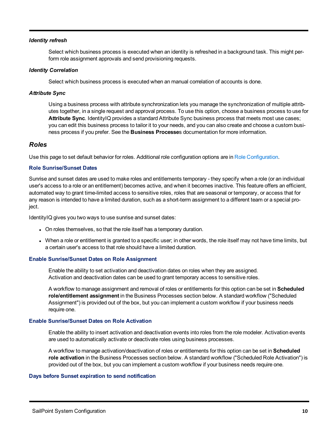#### *Identity refresh*

Select which business process is executed when an identity is refreshed in a background task. This might perform role assignment approvals and send provisioning requests.

#### *Identity Correlation*

Select which business process is executed when an manual correlation of accounts is done.

#### *Attribute Sync*

Using a business process with attribute synchronization lets you manage the synchronization of multiple attributes together, in a single request and approval process. To use this option, choose a business process to use for **Attribute Sync**. IdentityIQ provides a standard Attribute Sync business process that meets most use cases; you can edit this business process to tailor it to your needs, and you can also create and choose a custom business process if you prefer. See the **Business Processe**s documentation for more information.

#### <span id="page-15-0"></span>*Roles*

Use this page to set default behavior for roles. Additional role configuration options are in Role [Configuration.](#page-50-2)

#### **Role Sunrise/Sunset Dates**

Sunrise and sunset dates are used to make roles and entitlements temporary - they specify when a role (or an individual user's access to a role or an entitlement) becomes active, and when it becomes inactive. This feature offers an efficient, automated way to grant time-limited access to sensitive roles, roles that are seasonal or temporary, or access that for any reason is intended to have a limited duration, such as a short-term assignment to a different team or a special project.

IdentityIQ gives you two ways to use sunrise and sunset dates:

- On roles themselves, so that the role itself has a temporary duration.
- When a role or entitlement is granted to a specific user; in other words, the role itself may not have time limits, but a certain user's access to that role should have a limited duration.

#### **Enable Sunrise/Sunset Dates on Role Assignment**

Enable the ability to set activation and deactivation dates on roles when they are assigned. Activation and deactivation dates can be used to grant temporary access to sensitive roles.

A workflow to manage assignment and removal of roles or entitlements for this option can be set in **Scheduled role/entitlement assignment** in the Business Processes section below. A standard workflow ("Scheduled Assignment") is provided out of the box, but you can implement a custom workflow if your business needs require one.

#### **Enable Sunrise/Sunset Dates on Role Activation**

Enable the ability to insert activation and deactivation events into roles from the role modeler. Activation events are used to automatically activate or deactivate roles using business processes.

A workflow to manage activation/deactivation of roles or entitlements for this option can be set in **Scheduled role activation** in the Business Processes section below. A standard workflow ("Scheduled Role Activation") is provided out of the box, but you can implement a custom workflow if your business needs require one.

#### **Days before Sunset expiration to send notification**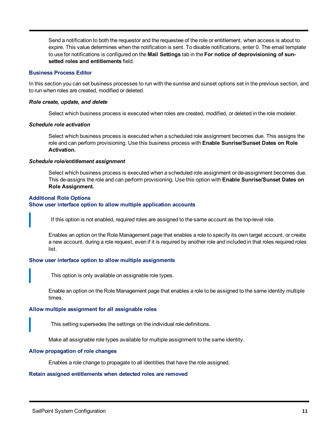Send a notification to both the requestor and the requestee of the role or entitlement, when access is about to expire. This value determines when the notification is sent. To disable notifications, enter 0. The email template to use for notifications is configured on the **Mail Settings** tab in the **For notice of deprovisioning of sunsetted roles and entitlements** field.

#### **Business Process Editor**

In this section you can set business processes to run with the sunrise and sunset options set in the previous section, and to run when roles are created, modified or deleted.

#### *Role create, update, and delete*

Select which business process is executed when roles are created, modified, or deleted in the role modeler.

#### *Schedule role activation*

Select which business process is executed when a scheduled role assignment becomes due. This assigns the role and can perform provisioning. Use this business process with **Enable Sunrise/Sunset Dates on Role Activation.**

#### *Schedule role/entitlement assignment*

Select which business process is executed when a scheduled role assignment or de-assignment becomes due. This de-assigns the role and can perform provisioning. Use this option with **Enable Sunrise/Sunset Dates on Role Assignment.**

#### **Additional Role Options Show user interface option to allow multiple application accounts**

If this option is not enabled, required roles are assigned to the same account as the top-level role.

Enables an option on the Role Management page that enables a role to specify its own target account, or create a new account, during a role request, even if it is required by another role and included in that roles required roles list.

#### **Show user interface option to allow multiple assignments**

This option is only available on assignable role types.

Enable an option on the Role Management page that enables a role to be assigned to the same identity multiple times.

#### **Allow multiple assignment for all assignable roles**

This setting supersedes the settings on the individual role definitions.

Make all assignable role types available for multiple assignment to the same identity.

#### **Allow propagation of role changes**

Enables a role change to propagate to all identities that have the role assigned.

#### **Retain assigned entitlements when detected roles are removed**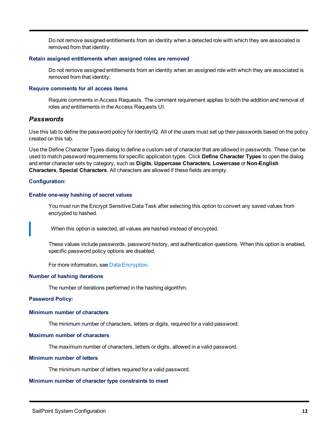Do not remove assigned entitlements from an identity when a detected role with which they are associated is removed from that identity.

#### **Retain assigned entitlements when assigned roles are removed**

Do not remove assigned entitlements from an identity when an assigned role with which they are associated is removed from that identity.

#### **Require comments for all access items**

Require comments in Access Requests. The comment requirement applies to both the addition and removal of roles and entitlements in the Access Requests UI.

#### <span id="page-17-0"></span>*Passwords*

Use this tab to define the password policy for IdentityIQ. All of the users must set up their passwords based on the policy created on this tab.

Use the Define Character Types dialog to define a custom set of character that are allowed in passwords. These can be used to match password requirements for specific application types. Click **Define Character Types** to open the dialog and enter character sets by category, such as **Digits**, **Uppercase Characters**, **Lowercase** or **Non-English Characters**, **Special Characters**. All characters are allowed if these fields are empty.

#### **Configuration:**

#### **Enable one-way hashing of secret values**

You must run the Encrypt Sensitive Data Task after selecting this option to convert any saved values from encrypted to hashed.

When this option is selected, all values are hashed instead of encrypted.

These values include passwords, password history, and authentication questions. When this option is enabled, specific password policy options are disabled.

For more information, see Data [Encryption.](#page-85-0)

#### **Number of hashing iterations**

The number of iterations performed in the hashing algorithm.

#### **Password Policy:**

#### **Minimum number of characters**

The minimum number of characters, letters or digits, required for a valid password.

#### **Maximum number of characters**

The maximum number of characters, letters or digits, allowed in a valid password.

#### **Minimum number of letters**

The minimum number of letters required for a valid password.

#### **Minimum number of character type constraints to meet**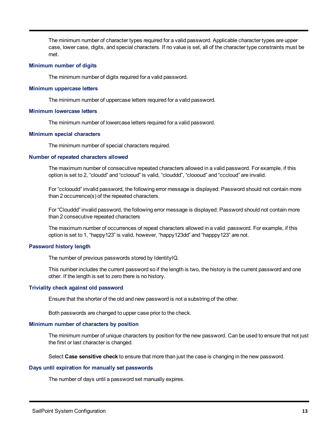The minimum number of character types required for a valid password. Applicable character types are upper case, lower case, digits, and special characters. If no value is set, all of the character type constraints must be met.

#### **Minimum number of digits**

The minimum number of digits required for a valid password.

#### **Minimum uppercase letters**

The minimum number of uppercase letters required for a valid password.

#### **Minimum lowercase letters**

The minimum number of lowercase letters required for a valid password.

#### **Minimum special characters**

The minimum number of special characters required.

#### **Number of repeated characters allowed**

The maximum number of consecutive repeated characters allowed in a valid password. For example, if this option is set to 2, "cloudd" and "cclooud" is valid, "clouddd", "cloooud" and "cccloud" are invalid.

For "cclooudd" invalid password, the following error message is displayed: Password should not contain more than 2 occurrence(s) of the repeated characters.

For "Clouddd" invalid password, the following error message is displayed: Password should not contain more than 2 consecutive repeated characters

The maximum number of occurrences of repeat characters allowed in a valid password. For example, if this option is set to 1, "happy123" is valid, however, "happy123dd" and "happpy123" are not.

#### **Password history length**

The number of previous passwords stored by IdentityIQ.

This number includes the current password so if the length is two, the history is the current password and one other. If the length is set to zero there is no history.

#### **Triviality check against old password**

Ensure that the shorter of the old and new password is not a substring of the other.

Both passwords are changed to upper case prior to the check.

#### **Minimum number of characters by position**

The minimum number of unique characters by position for the new password. Can be used to ensure that not just the first or last character is changed.

Select **Case sensitive check** to ensure that more than just the case is changing in the new password.

#### **Days until expiration for manually set passwords**

The number of days until a password set manually expires.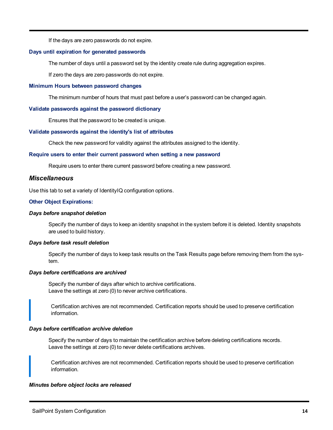If the days are zero passwords do not expire.

#### **Days until expiration for generated passwords**

The number of days until a password set by the identity create rule during aggregation expires.

If zero the days are zero passwords do not expire.

#### **Minimum Hours between password changes**

The minimum number of hours that must past before a user's password can be changed again.

#### **Validate passwords against the password dictionary**

Ensures that the password to be created is unique.

#### **Validate passwords against the identity's list of attributes**

Check the new password for validity against the attributes assigned to the identity.

#### **Require users to enter their current password when setting a new password**

Require users to enter there current password before creating a new password.

#### <span id="page-19-0"></span>*Miscellaneous*

Use this tab to set a variety of IdentityIQ configuration options.

#### **Other Object Expirations:**

#### *Days before snapshot deletion*

Specify the number of days to keep an identity snapshot in the system before it is deleted. Identity snapshots are used to build history.

#### *Days before task result deletion*

Specify the number of days to keep task results on the Task Results page before removing them from the system.

#### *Days before certifications are archived*

Specify the number of days after which to archive certifications. Leave the settings at zero (0) to never archive certifications.

Certification archives are not recommended. Certification reports should be used to preserve certification information.

#### *Days before certification archive deletion*

Specify the number of days to maintain the certification archive before deleting certifications records. Leave the settings at zero (0) to never delete certifications archives.

Certification archives are not recommended. Certification reports should be used to preserve certification information.

#### *Minutes before object locks are released*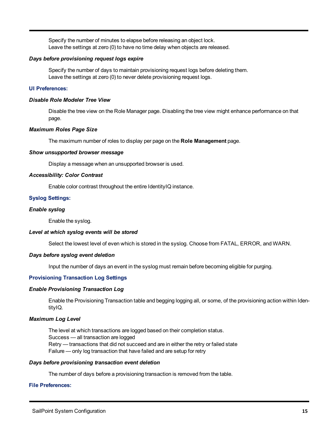Specify the number of minutes to elapse before releasing an object lock. Leave the settings at zero (0) to have no time delay when objects are released.

#### *Days before provisioning request logs expire*

Specify the number of days to maintain provisioning request logs before deleting them. Leave the settings at zero (0) to never delete provisioning request logs.

#### **UI Preferences:**

#### *Disable Role Modeler Tree View*

Disable the tree view on the Role Manager page. Disabling the tree view might enhance performance on that page.

#### *Maximum Roles Page Size*

The maximum number of roles to display per page on the **Role Management** page.

#### *Show unsupported browser message*

Display a message when an unsupported browser is used.

#### *Accessibility: Color Contrast*

Enable color contrast throughout the entire IdentityIQ instance.

#### **Syslog Settings:**

#### *Enable syslog*

Enable the syslog.

#### *Level at which syslog events will be stored*

Select the lowest level of even which is stored in the syslog. Choose from FATAL, ERROR, and WARN.

#### *Days before syslog event deletion*

Input the number of days an event in the syslog must remain before becoming eligible for purging.

#### **Provisioning Transaction Log Settings**

#### *Enable Provisioning Transaction Log*

Enable the Provisioning Transaction table and begging logging all, or some, of the provisioning action within IdentityIQ.

#### *Maximum Log Level*

The level at which transactions are logged based on their completion status. Success — all transaction are logged Retry — transactions that did not succeed and are in either the retry or failed state Failure — only log transaction that have failed and are setup for retry

#### *Days before provisioning transaction event deletion*

The number of days before a provisioning transaction is removed from the table.

#### **File Preferences:**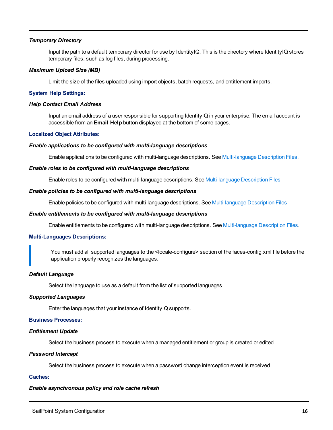#### *Temporary Directory*

Input the path to a default temporary director for use by IdentityIQ. This is the directory where IdentityIQ stores temporary files, such as log files, during processing.

#### *Maximum Upload Size (MB)*

Limit the size of the files uploaded using import objects, batch requests, and entitlement imports.

#### **System Help Settings:**

#### *Help Contact Email Address*

Input an email address of a user responsible for supporting IdentityIQ in your enterprise. The email account is accessible from an **Email Help** button displayed at the bottom of some pages.

#### **Localized Object Attributes:**

#### *Enable applications to be configured with multi-language descriptions*

Enable applications to be configured with multi-language descriptions. See [Multi-language](#page-8-1) Description Files.

#### *Enable roles to be configured with multi-language descriptions*

Enable roles to be configured with multi-language descriptions. See [Multi-language](#page-8-1) Description Files

#### *Enable policies to be configured with multi-language descriptions*

Enable policies to be configured with multi-language descriptions. See [Multi-language](#page-8-1) Description Files

#### *Enable entitlements to be configured with multi-language descriptions*

Enable entitlements to be configured with multi-language descriptions. See [Multi-language](#page-8-1) Description Files.

#### **Multi-Languages Descriptions:**

You must add all supported languages to the <locale-configure> section of the faces-config.xml file before the application properly recognizes the languages.

#### *Default Language*

Select the language to use as a default from the list of supported languages.

#### *Supported Languages*

Enter the languages that your instance of IdentityIQ supports.

#### **Business Processes:**

#### *Entitlement Update*

Select the business process to execute when a managed entitlement or group is created or edited.

#### *Password Intercept*

Select the business process to execute when a password change interception event is received.

#### **Caches:**

#### *Enable asynchronous policy and role cache refresh*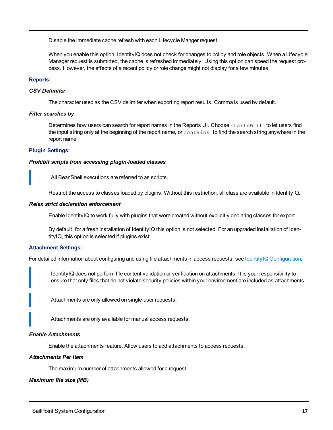Disable the immediate cache refresh with each Lifecycle Manger request.

When you enable this option, IdentityIQ does not check for changes to policy and role objects. When a Lifecycle Manager request is submitted, the cache is refreshed immediately. Using this option can speed the request process. However, the effects of a recent policy or role change might not display for a few minutes.

#### **Reports:**

#### *CSV Delimiter*

The character used as the CSV delimiter when exporting report results. Comma is used by default.

#### *Filter searches by*

Determines how users can search for report names in the Reports UI. Choose startsWith to let users find the input string only at the beginning of the report name, or contains to find the search string anywhere in the report name.

#### **Plugin Settings:**

#### *Prohibit scripts from accessing plugin-loaded classes*

All BeanShell executions are referred to as scripts.

Restrict the access to classes loaded by plugins. Without this restriction, all class are available in IdentityIQ.

#### *Relax strict declaration enforcement*

Enable IdentityIQ to work fully with plugins that were created without explicitly declaring classes for export.

By default, for a fresh installation of IdentityIQ this option is not selected. For an upgraded installation of IdentityIQ, this option is selected if plugins exist.

#### **Attachment Settings:**

For detailed information about configuring and using file attachments in access requests, see IdentityIQ [Configuration.](#page-8-0)

IdentityIQ does not perform file content validation or verification on attachments. It is your responsibility to ensure that only files that do not violate security policies within your environment are included as attachments.

Attachments are only allowed on single-user requests.

Attachments are only available for manual access requests.

#### *Enable Attachments*

Enable the attachments feature. Allow users to add attachments to access requests.

#### *Attachments Per Item*

The maximum number of attachments allowed for a request.

#### *Maximum file size (MB)*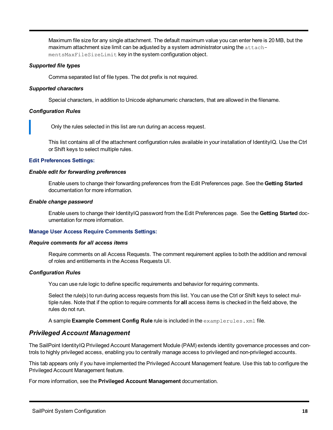Maximum file size for any single attachment. The default maximum value you can enter here is 20 MB, but the maximum attachment size limit can be adjusted by a system administrator using the attachmentsMaxFileSizeLimit key in the system configuration object.

#### *Supported file types*

Comma separated list of file types. The dot prefix is not required.

#### *Supported characters*

Special characters, in addition to Unicode alphanumeric characters, that are allowed in the filename.

#### *Configuration Rules*

Only the rules selected in this list are run during an access request.

This list contains all of the attachment configuration rules available in your installation of IdentityIQ. Use the Ctrl or Shift keys to select multiple rules.

#### **Edit Preferences Settings:**

#### *Enable edit for forwarding preferences*

Enable users to change their forwarding preferences from the Edit Preferences page. See the **Getting Started** documentation for more information.

#### *Enable change password*

Enable users to change their IdentityIQ password from the Edit Preferences page. See the **Getting Started** documentation for more information.

#### **Manage User Access Require Comments Settings:**

#### *Require comments for all access items*

Require comments on all Access Requests. The comment requirement applies to both the addition and removal of roles and entitlements in the Access Requests UI.

#### *Configuration Rules*

You can use rule logic to define specific requirements and behavior for requiring comments.

Select the rule(s) to run during access requests from this list. You can use the Ctrl or Shift keys to select multiple rules. Note that if the option to require comments for **all** access items is checked in the field above, the rules do not run.

A sample **Example Comment Config Rule** rule is included in the examplerules.xml file.

#### <span id="page-23-0"></span>*Privileged Account Management*

The SailPoint IdentityIQ Privileged Account Management Module (PAM) extends identity governance processes and controls to highly privileged access, enabling you to centrally manage access to privileged and non-privileged accounts.

This tab appears only if you have implemented the Privileged Account Management feature. Use this tab to configure the Privileged Account Management feature.

For more information, see the **Privileged Account Management** documentation.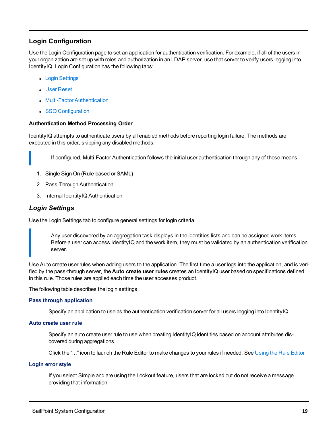#### <span id="page-24-0"></span>**Login Configuration**

Use the Login Configuration page to set an application for authentication verification. For example, if all of the users in your organization are set up with roles and authorization in an LDAP server, use that server to verify users logging into IdentityIQ. Login Configuration has the following tabs:

- Login [Settings](#page-24-2)
- **.** User [Reset](#page-25-0)
- Multi-Factor [Authentication](#page-27-0)
- SSO [Configuration](#page-30-0)

#### <span id="page-24-1"></span>**Authentication Method Processing Order**

IdentityIQ attempts to authenticate users by all enabled methods before reporting login failure. The methods are executed in this order, skipping any disabled methods:

If configured, Multi-Factor Authentication follows the initial user authentication through any of these means.

- 1. Single Sign On (Rule-based or SAML)
- 2. Pass-Through Authentication
- 3. Internal IdentityIQ Authentication

#### <span id="page-24-2"></span>*Login Settings*

Use the Login Settings tab to configure general settings for login criteria.

Any user discovered by an aggregation task displays in the identities lists and can be assigned work items. Before a user can access IdentityIQ and the work item, they must be validated by an authentication verification server.

Use Auto create user rules when adding users to the application. The first time a user logs into the application, and is verified by the pass-through server, the **Auto create user rules** creates an IdentityIQ user based on specifications defined in this rule. Those rules are applied each time the user accesses product.

The following table describes the login settings.

#### **Pass through application**

Specify an application to use as the authentication verification server for all users logging into IdentityIQ.

#### **Auto create user rule**

Specify an auto create user rule to use when creating IdentityIQ identities based on account attributes discovered during aggregations.

Click the "..." icon to launch the Rule Editor to make changes to your rules if needed. See [Using](#page-8-2) the Rule Editor

#### **Login error style**

If you select Simple and are using the Lockout feature, users that are locked out do not receive a message providing that information.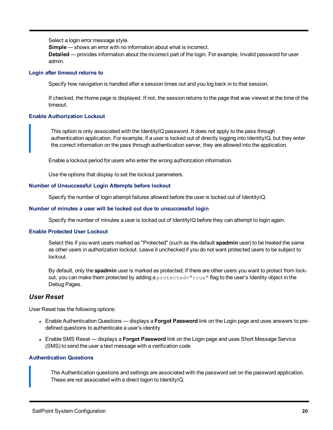Select a login error message style.

**Simple** — shows an error with no information about what is incorrect.

**Detailed** — provides information about the incorrect part of the login. For example, Invalid password for user admin.

#### **Login after timeout returns to**

Specify how navigation is handled after a session times out and you log back in to that session.

If checked, the Home page is displayed. If not, the session returns to the page that was viewed at the time of the timeout.

#### **Enable Authorization Lockout**

This option is only associated with the IdentityIQ password. It does not apply to the pass through authentication application. For example, if a user is locked out of directly logging into IdentityIQ, but they enter the correct information on the pass through authentication server, they are allowed into the application.

Enable a lockout period for users who enter the wrong authorization information.

Use the options that display to set the lockout parameters.

#### **Number of Unsuccessful Login Attempts before lockout**

Specify the number of login attempt failures allowed before the user is locked out of IdentityIQ.

#### **Number of minutes a user will be locked out due to unsuccessful login**

Specify the number of minutes a user is locked out of IdentityIQ before they can attempt to login again.

#### **Enable Protected User Lockout**

Select this if you want users marked as "Protected" (such as the default **spadmin** user) to be treated the same as other users in authorization lockout. Leave it unchecked if you do not want protected users to be subject to lockout.

By default, only the **spadmin** user is marked as protected; if there are other users you want to protect from lockout, you can make them protected by adding a protected="true" flag to the user's Identity object in the Debug Pages.

#### <span id="page-25-0"></span>*User Reset*

User Reset has the following options:

- <sup>l</sup> Enable Authentication Questions displays a **Forgot Password** link on the Login page and uses answers to predefined questions to authenticate a user's identity
- <sup>l</sup> Enable SMS Reset displays a **Forgot Password** link on the Login page and uses Short Message Service (SMS) to send the user a text message with a verification code

#### **Authentication Questions**

The Authentication questions and settings are associated with the password set on the password application. These are not associated with a direct logon to IdentityIQ.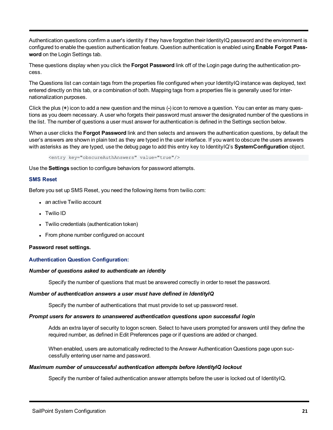Authentication questions confirm a user's identity if they have forgotten their IdentityIQ password and the environment is configured to enable the question authentication feature. Question authentication is enabled using **Enable Forgot Password** on the Login Settings tab.

These questions display when you click the **Forgot Password** link off of the Login page during the authentication process.

The Questions list can contain tags from the properties file configured when your IdentityIQ instance was deployed, text entered directly on this tab, or a combination of both. Mapping tags from a properties file is generally used for internationalization purposes.

Click the plus (**+**) icon to add a new question and the minus (**-**) icon to remove a question. You can enter as many questions as you deem necessary. A user who forgets their password must answer the designated number of the questions in the list. The number of questions a user must answer for authentication is defined in the Settings section below.

When a user clicks the **Forgot Password** link and then selects and answers the authentication questions, by default the user's answers are shown in plain text as they are typed in the user interface. If you want to obscure the users answers with asterisks as they are typed, use the debug page to add this entry key to IdentityIQ's **SystemConfiguration** object.

<entry key="obscureAuthAnswers" value="true"/>

Use the **Settings** section to configure behaviors for password attempts.

#### **SMS Reset**

Before you set up SMS Reset, you need the following items from twilio.com:

- an active Twilio account
- **Twilio ID**
- Twilio credentials (authentication token)
- From phone number configured on account

#### <span id="page-26-0"></span>**Password reset settings.**

#### **Authentication Question Configuration:**

#### *Number of questions asked to authenticate an identity*

Specify the number of questions that must be answered correctly in order to reset the password.

#### *Number of authentication answers a user must have defined in IdentityIQ*

Specify the number of authentications that must provide to set up password reset.

#### *Prompt users for answers to unanswered authentication questions upon successful login*

Adds an extra layer of security to logon screen. Select to have users prompted for answers until they define the required number, as defined in Edit Preferences page or if questions are added or changed.

When enabled, users are automatically redirected to the Answer Authentication Questions page upon successfully entering user name and password.

#### *Maximum number of unsuccessful authentication attempts before IdentityIQ lockout*

Specify the number of failed authentication answer attempts before the user is locked out of IdentityIQ.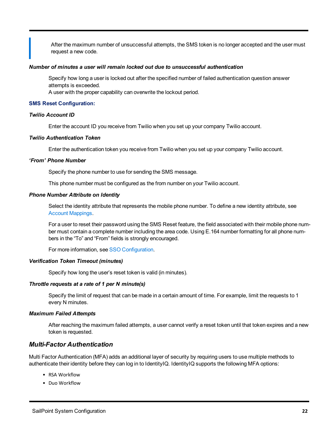After the maximum number of unsuccessful attempts, the SMS token is no longer accepted and the user must request a new code.

#### *Number of minutes a user will remain locked out due to unsuccessful authentication*

Specify how long a user is locked out after the specified number of failed authentication question answer attempts is exceeded.

A user with the proper capability can overwrite the lockout period.

#### **SMS Reset Configuration:**

#### *Twilio Account ID*

Enter the account ID you receive from Twilio when you set up your company Twilio account.

#### *Twilio Authentication Token*

Enter the authentication token you receive from Twilio when you set up your company Twilio account.

#### *'From' Phone Number*

Specify the phone number to use for sending the SMS message.

This phone number must be configured as the from number on your Twilio account.

#### *Phone Number Attribute on Identity*

Select the identity attribute that represents the mobile phone number. To define a new identity attribute, see Account [Mappings.](#page-37-1)

For a user to reset their password using the SMS Reset feature, the field associated with their mobile phone number must contain a complete number including the area code. Using E.164 number formatting for all phone numbers in the "To" and "From" fields is strongly encouraged.

For more information, see SSO [Configuration](#page-30-0).

#### *Verification Token Timeout (minutes)*

Specify how long the user's reset token is valid (in minutes).

#### *Throttle requests at a rate of 1 per N minute(s)*

Specify the limit of request that can be made in a certain amount of time. For example, limit the requests to 1 every N minutes.

#### *Maximum Failed Attempts*

After reaching the maximum failed attempts, a user cannot verify a reset token until that token expires and a new token is requested.

#### <span id="page-27-0"></span>*Multi-Factor Authentication*

Multi Factor Authentication (MFA) adds an additional layer of security by requiring users to use multiple methods to authenticate their identity before they can log in to IdentityIQ. IdentityIQ supports the following MFA options:

- RSA Workflow
- Duo Workflow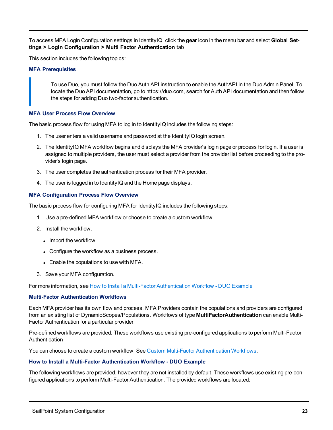To access MFA Login Configuration settings in IdentityIQ, click the **gear** icon in the menu bar and select **Global Settings > Login Configuration > Multi Factor Authentication** tab

<span id="page-28-1"></span>This section includes the following topics:

#### **MFA Prerequisites**

To use Duo, you must follow the Duo Auth API instruction to enable the AuthAPI in the Duo Admin Panel. To locate the Duo API documentation, go to https://duo.com, search for Auth API documentation and then follow the steps for adding Duo two-factor authentication.

#### **MFA User Process Flow Overview**

The basic process flow for using MFA to log in to IdentityIQ includes the following steps:

- 1. The user enters a valid username and password at the IdentityIQ login screen.
- 2. The IdentityIQ MFA workflow begins and displays the MFA provider's login page or process for login. If a user is assigned to multiple providers, the user must select a provider from the provider list before proceeding to the provider's login page.
- 3. The user completes the authentication process for their MFA provider.
- 4. The user is logged in to IdentityIQ and the Home page displays.

#### **MFA Configuration Process Flow Overview**

The basic process flow for configuring MFA for IdentityIQ includes the following steps:

- 1. Use a pre-defined MFA workflow or choose to create a custom workflow.
- 2. Install the workflow.
	- Import the workflow.
	- Configure the workflow as a business process.
	- Enable the populations to use with MFA.
- 3. Save your MFA configuration.

For more information, see How to Install a Multi-Factor [Authentication](#page-28-0) Workflow - DUO Example

#### **Multi-Factor Authentication Workflows**

Each MFA provider has its own flow and process. MFA Providers contain the populations and providers are configured from an existing list of DynamicScopes/Populations. Workflows of type **MultiFactorAuthentication** can enable Multi-Factor Authentication for a particular provider.

Pre-defined workflows are provided. These workflows use existing pre-configured applications to perform Multi-Factor Authentication

<span id="page-28-0"></span>You can choose to create a custom workflow. See Custom Multi-Factor [Authentication](#page-30-1) Workflows.

#### **How to Install a Multi-Factor Authentication Workflow - DUO Example**

The following workflows are provided, however they are not installed by default. These workflows use existing pre-configured applications to perform Multi-Factor Authentication. The provided workflows are located: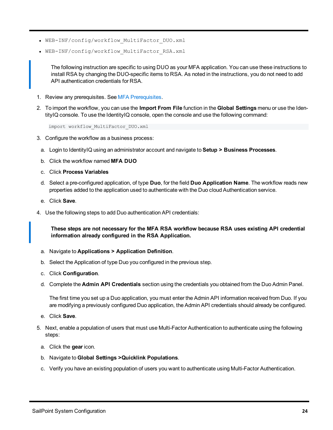- WEB-INF/config/workflow MultiFactor DUO.xml
- WEB-INF/config/workflow MultiFactor RSA.xml

The following instruction are specific to using DUO as your MFA application. You can use these instructions to install RSA by changing the DUO-specific items to RSA. As noted in the instructions, you do not need to add API authentication credentials for RSA.

- 1. Review any prerequisites. See MFA [Prerequisites](#page-28-1).
- 2. To import the workflow, you can use the **Import From File** function in the **Global Settings** menu or use the IdentityIQ console. To use the IdentityIQ console, open the console and use the following command:

import workflow\_MultiFactor\_DUO.xml

- 3. Configure the workflow as a business process:
	- a. Login to IdentityIQ using an administrator account and navigate to **Setup > Business Processes**.
	- b. Click the workflow named **MFA DUO**
	- c. Click **Process Variables**
	- d. Select a pre-configured application, of type **Duo**, for the field **Duo Application Name**. The workflow reads new properties added to the application used to authenticate with the Duo cloud Authentication service.
	- e. Click **Save**.
- 4. Use the following steps to add Duo authentication API credentials:

**These steps are not necessary for the MFA RSA workflow because RSA uses existing API credential information already configured in the RSA Application.**

- a. Navigate to **Applications > Application Definition**.
- b. Select the Application of type Duo you configured in the previous step.
- c. Click **Configuration**.
- d. Complete the **Admin API Credentials** section using the credentials you obtained from the Duo Admin Panel.

The first time you set up a Duo application, you must enter the Admin API information received from Duo. If you are modifying a previously configured Duo application, the Admin API credentials should already be configured.

- e. Click **Save**.
- 5. Next, enable a population of users that must use Multi-Factor Authentication to authenticate using the following steps:
	- a. Click the **gear** icon.
	- b. Navigate to **Global Settings >Quicklink Populations**.
	- c. Verify you have an existing population of users you want to authenticate using Multi-Factor Authentication.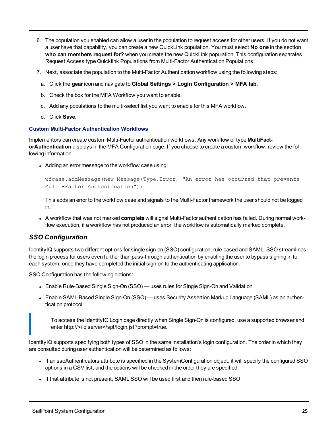- 6. The population you enabled can allow a user in the population to request access for other users. If you do not want a user have that capability, you can create a new QuickLink population. You must select **No one** in the section **who can members request for?** when you create the new QuickLink population. This configuration separates Request Access type Quicklink Populations from Multi-Factor Authentication Populations.
- 7. Next, associate the population to the Multi-Factor Authentication workflow using the following steps:
	- a. Click the **gear** icon and navigate to **Global Settings > Login Configuration > MFA tab**.
	- b. Check the box for the MFA Workflow you want to enable.
	- c. Add any populations to the multi-select list you want to enable for this MFA workflow.
	- d. Click **Save**.

#### <span id="page-30-1"></span>**Custom Multi-Factor Authentication Workflows**

Implementors can create custom Multi-Factor authentication workflows. Any workflow of type **MultiFactorAuthentication** displays in the MFA Configuration page. If you choose to create a custom workflow, review the following information:

• Adding an error message to the workflow case using:

```
wfcase.addMessage(new Message(Type.Error, "An error has occurred that prevents
Multi-Factor Authentication"))
```
This adds an error to the workflow case and signals to the Multi-Factor framework the user should not be logged in.

<sup>l</sup> A workflow that was not marked **complete** will signal Multi-Factor authentication has failed. During normal workflow execution, if a workflow has not produced an error, the workflow is automatically marked complete.

#### <span id="page-30-0"></span>*SSO Configuration*

IdentityIQ supports two different options for single sign-on (SSO) configuration, rule-based and SAML. SSO streamlines the login process for users even further than pass-through authentication by enabling the user to bypass signing in to each system, once they have completed the initial sign-on to the authenticating application.

SSO Configuration has the following options:

- Enable Rule-Based Single Sign-On (SSO) uses rules for Single Sign-On and Validation
- Enable SAML Based Single Sign-On (SSO) uses Security Assertion Markup Language (SAML) as an authentication protocol

To access the IdentityIQ Login page directly when Single Sign-On is configured, use a supported browser and enter http://<iiq server>/spt/login.jsf?prompt=true.

IdentityIQ supports specifying both types of SSO in the same installation's login configuration. The order in which they are consulted during user authentication will be determined as follows:

- If an ssoAuthenticators attribute is specified in the SystemConfiguration object, it will specify the configured SSO options in a CSV list, and the options will be checked in the order they are specified
- . If that attribute is not present, SAML SSO will be used first and then rule-based SSO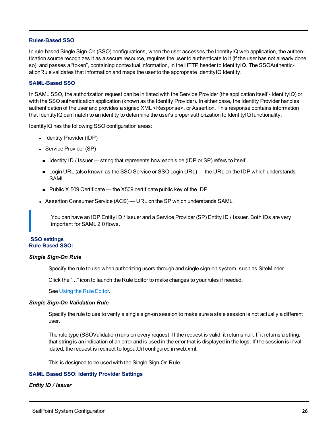#### **Rules-Based SSO**

In rule-based Single Sign-On (SSO) configurations, when the user accesses the IdentityIQ web application, the authentication source recognizes it as a secure resource, requires the user to authenticate to it (if the user has not already done so), and passes a "token", containing contextual information, in the HTTP header to IdentityIQ. The SSOAuthenticationRule validates that information and maps the user to the appropriate IdentityIQ Identity.

#### **SAML-Based SSO**

In SAML SSO, the authorization request can be initiated with the Service Provider (the application itself - IdentityIQ) or with the SSO authentication application (known as the Identity Provider). In either case, the Identity Provider handles authentication of the user and provides a signed XML <Response>, or Assertion. This response contains information that IdentityIQ can match to an identity to determine the user's proper authorization to IdentityIQ functionality.

IdentityIQ has the following SSO configuration areas:

- Identity Provider (IDP)
- Service Provider (SP)
- Identity ID / Issuer string that represents how each side (IDP or SP) refers to itself
- **n** Login URL (also known as the SSO Service or SSO Login URL) the URL on the IDP which understands SAML.
- Public X.509 Certificate the X509 certificate public key of the IDP.
- Assertion Consumer Service (ACS) URL on the SP which understands SAML

You can have an IDP EntityI D / Issuer and a Service Provider (SP) Entity ID / Issuer. Both IDs are very important for SAML 2.0 flows.

#### **SSO settings Rule Based SSO:**

#### *Single Sign-On Rule*

Specify the rule to use when authorizing users through and single sign-on system, such as SiteMinder.

Click the "..." icon to launch the Rule Editor to make changes to your rules if needed.

See [Using](#page-8-2) the Rule Editor.

#### *Single Sign-On Validation Rule*

Specify the rule to use to verify a single sign-on session to make sure a stale session is not actually a different user.

The rule type (SSOValidation) runs on every request. If the request is valid, it returns null. If it returns a string, that string is an indication of an error and is used in the error that is displayed in the logs. If the session is invalidated, the request is redirect to logoutUrl configured in web.xml.

This is designed to be used with the Single Sign-On Rule.

#### **SAML Based SSO: Identity Provider Settings**

#### *Entity ID / Issuer*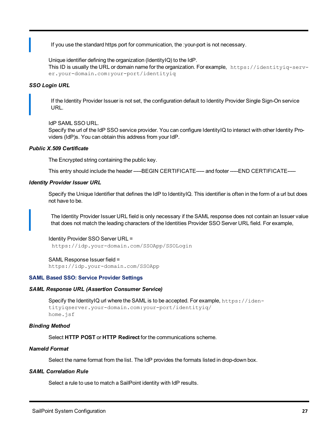If you use the standard https port for communication, the :your-port is not necessary.

Unique identifier defining the organization (IdentityIQ) to the IdP. This ID is usually the URL or domain name for the organization. For example, https://identityiq-server.your-domain.com:your-port/identityiq

#### *SSO Login URL*

If the Identity Provider Issuer is not set, the configuration default to Identity Provider Single Sign-On service URL.

#### IdP SAML SSO URL.

Specify the url of the IdP SSO service provider. You can configure IdentityIQ to interact with other Identity Providers (IdP)s. You can obtain this address from your IdP.

#### *Public X.509 Certificate*

The Encrypted string containing the public key.

This entry should include the header -----BEGIN CERTIFICATE----- and footer -----END CERTIFICATE-----

#### *Identity Provider Issuer URL*

Specify the Unique Identifier that defines the IdP to IdentityIQ. This identifier is often in the form of a url but does not have to be.

The Identity Provider Issuer URL field is only necessary if the SAML response does not contain an Issuer value that does not match the leading characters of the Identities Provider SSO Server URL field. For example,

#### Identity Provider SSO Server URL =

https://idp.your-domain.com/SSOApp/SSOLogin

#### SAML Response Issuer field =

https://idp.your-domain.com/SSOApp

#### **SAML Based SSO: Service Provider Settings**

#### *SAML Response URL (Assertion Consumer Service)*

Specify the IdentityIQ url where the SAML is to be accepted. For example, https://identityiqserver.your-domain.com:your-port/identityiq/ home.jsf

#### *Binding Method*

Select **HTTP POST** or **HTTP Redirect** for the communications scheme.

#### *NameId Format*

Select the name format from the list. The IdP provides the formats listed in drop-down box.

#### *SAML Correlation Rule*

Select a rule to use to match a SailPoint identity with IdP results.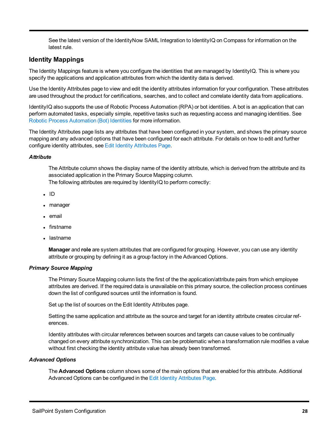See the latest version of the IdentityNow SAML Integration to IdentityIQ on Compass for information on the latest rule.

#### <span id="page-33-0"></span>**Identity Mappings**

The Identity Mappings feature is where you configure the identities that are managed by IdentityIQ. This is where you specify the applications and application attributes from which the identity data is derived.

Use the Identity Attributes page to view and edit the identity attributes information for your configuration. These attributes are used throughout the product for certifications, searches, and to collect and correlate identity data from applications.

IdentityIQ also supports the use of Robotic Process Automation (RPA) or bot identities. A bot is an application that can perform automated tasks, especially simple, repetitive tasks such as requesting access and managing identities. See Robotic Process Automation (Bot) Identities for more information.

The Identity Attributes page lists any attributes that have been configured in your system, and shows the primary source mapping and any advanced options that have been configured for each attribute. For details on how to edit and further configure identity attributes, see Edit Identity [Attributes](#page-34-0) Page.

#### *Attribute*

The Attribute column shows the display name of the identity attribute, which is derived from the attribute and its associated application in the Primary Source Mapping column. The following attributes are required by IdentityIQ to perform correctly:

- $\cdot$  ID
- manager
- email
- firstname
- lastname

**Manager** and **role** are system attributes that are configured for grouping. However, you can use any identity attribute or grouping by defining it as a group factory in the Advanced Options.

#### *Primary Source Mapping*

The Primary Source Mapping column lists the first of the the application/attribute pairs from which employee attributes are derived. If the required data is unavailable on this primary source, the collection process continues down the list of configured sources until the information is found.

Set up the list of sources on the Edit Identity Attributes page.

Setting the same application and attribute as the source and target for an identity attribute creates circular references.

Identity attributes with circular references between sources and targets can cause values to be continually changed on every attribute synchronization. This can be problematic when a transformation rule modifies a value without first checking the identity attribute value has already been transformed.

#### *Advanced Options*

The **Advanced Options** column shows some of the main options that are enabled for this attribute. Additional Advanced Options can be configured in the Edit Identity [Attributes](#page-34-0) Page.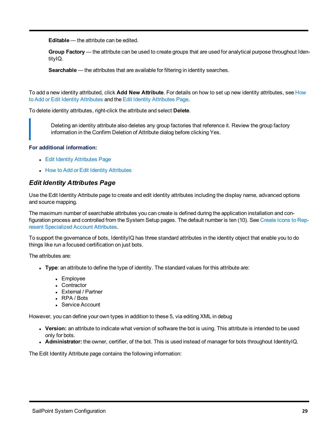**Editable** — the attribute can be edited.

**Group Factory** — the attribute can be used to create groups that are used for analytical purpose throughout IdentityIQ.

**Searchable** — the attributes that are available for filtering in identity searches.

To add a new identity attributed, click **Add New Attribute**. For details on how to set up new identity attributes, see [How](#page-36-0) to Add or Edit Identity [Attributes](#page-36-0) and the Edit Identity [Attributes](#page-34-0) Page.

To delete identity attributes, right-click the attribute and select **Delete**.

Deleting an identity attribute also deletes any group factories that reference it. Review the group factory information in the Confirm Deletion of Attribute dialog before clicking Yes.

#### **For additional information:**

- Edit Identity [Attributes](#page-34-0) Page
- How to Add or Edit Identity [Attributes](#page-36-0)

#### <span id="page-34-0"></span>*Edit Identity Attributes Page*

Use the Edit Identity Attribute page to create and edit identity attributes including the display name, advanced options and source mapping.

The maximum number of searchable attributes you can create is defined during the application installation and con-figuration process and controlled from the System Setup pages. The default number is ten (10). See [Create](#page-41-0) Icons to Represent [Specialized](#page-41-0) Account Attributes.

To support the governance of bots, IdentityIQ has three standard attributes in the identity object that enable you to do things like run a focused certification on just bots.

The attributes are:

- <sup>l</sup> **Type**: an attribute to define the type of identity. The standard values for this attribute are:
	- Employee
	- Contractor
	- External / Partner
	- $\cdot$  RPA / Bots
	- Service Account

However, you can define your own types in addition to these 5, via editing XML in debug

- **Version:** an attribute to indicate what version of software the bot is using. This attribute is intended to be used only for bots.
- **Administrator:** the owner, certifier, of the bot. This is used instead of manager for bots throughout IdentityIQ.

The Edit Identity Attribute page contains the following information: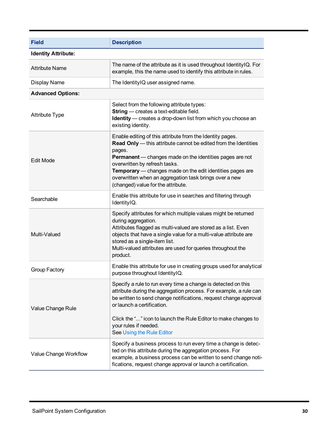| <b>Field</b>               | <b>Description</b>                                                                                                                                                                                                                                                                                                                                                                                      |  |  |  |
|----------------------------|---------------------------------------------------------------------------------------------------------------------------------------------------------------------------------------------------------------------------------------------------------------------------------------------------------------------------------------------------------------------------------------------------------|--|--|--|
| <b>Identity Attribute:</b> |                                                                                                                                                                                                                                                                                                                                                                                                         |  |  |  |
| <b>Attribute Name</b>      | The name of the attribute as it is used throughout IdentityIQ. For<br>example, this the name used to identify this attribute in rules.                                                                                                                                                                                                                                                                  |  |  |  |
| <b>Display Name</b>        | The Identity IQ user assigned name.                                                                                                                                                                                                                                                                                                                                                                     |  |  |  |
| <b>Advanced Options:</b>   |                                                                                                                                                                                                                                                                                                                                                                                                         |  |  |  |
| <b>Attribute Type</b>      | Select from the following attribute types:<br>String - creates a text-editable field.<br>Identity - creates a drop-down list from which you choose an<br>existing identity.                                                                                                                                                                                                                             |  |  |  |
| <b>Edit Mode</b>           | Enable editing of this attribute from the Identity pages.<br>Read Only - this attribute cannot be edited from the Identities<br>pages.<br><b>Permanent</b> — changes made on the identities pages are not<br>overwritten by refresh tasks.<br>Temporary - changes made on the edit identities pages are<br>overwritten when an aggregation task brings over a new<br>(changed) value for the attribute. |  |  |  |
| Searchable                 | Enable this attribute for use in searches and filtering through<br>IdentityIQ.                                                                                                                                                                                                                                                                                                                          |  |  |  |
| Multi-Valued               | Specify attributes for which multiple values might be returned<br>during aggregation.<br>Attributes flagged as multi-valued are stored as a list. Even<br>objects that have a single value for a multi-value attribute are<br>stored as a single-item list.<br>Multi-valued attributes are used for queries throughout the<br>product.                                                                  |  |  |  |
| Group Factory              | Enable this attribute for use in creating groups used for analytical<br>purpose throughout IdentityIQ.                                                                                                                                                                                                                                                                                                  |  |  |  |
| Value Change Rule          | Specify a rule to run every time a change is detected on this<br>attribute during the aggregation process. For example, a rule can<br>be written to send change notifications, request change approval<br>or launch a certification.<br>Click the "" icon to launch the Rule Editor to make changes to<br>your rules if needed.<br>See Using the Rule Editor                                            |  |  |  |
| Value Change Workflow      | Specify a business process to run every time a change is detec-<br>ted on this attribute during the aggregation process. For<br>example, a business process can be written to send change noti-<br>fications, request change approval or launch a certification.                                                                                                                                        |  |  |  |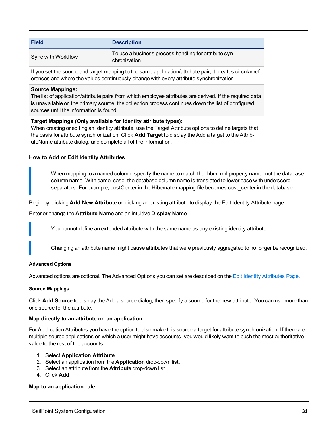| <b>Field</b>       | <b>Description</b>                                                     |
|--------------------|------------------------------------------------------------------------|
| Sync with Workflow | To use a business process handling for attribute syn-<br>chronization. |

If you set the source and target mapping to the same application/attribute pair, it creates circular references and where the values continuously change with every attribute synchronization.

# **Source Mappings:**

The list of application/attribute pairs from which employee attributes are derived. If the required data is unavailable on the primary source, the collection process continues down the list of configured sources until the information is found.

# **Target Mappings (Only available for Identity attribute types):**

When creating or editing an Identity attribute, use the Target Attribute options to define targets that the basis for attribute synchronization. Click **Add Target** to display the Add a target to the AttributeName attribute dialog, and complete all of the information.

#### **How to Add or Edit Identity Attributes**

When mapping to a named column, specify the name to match the .hbm.xml property name, not the database column name. With camel case, the database column name is translated to lower case with underscore separators. For example, costCenter in the Hibernate mapping file becomes cost center in the database.

Begin by clicking **Add New Attribute** or clicking an existing attribute to display the Edit Identity Attribute page.

Enter or change the **Attribute Name** and an intuitive **Display Name**.

You cannot define an extended attribute with the same name as any existing identity attribute.

Changing an attribute name might cause attributes that were previously aggregated to no longer be recognized.

#### **Advanced Options**

Advanced options are optional. The Advanced Options you can set are described on the Edit Identity [Attributes](#page-34-0) Page.

#### **Source Mappings**

Click **Add Source** to display the Add a source dialog, then specify a source for the new attribute. You can use more than one source for the attribute.

#### **Map directly to an attribute on an application.**

For Application Attributes you have the option to also make this source a target for attribute synchronization. If there are multiple source applications on which a user might have accounts, you would likely want to push the most authoritative value to the rest of the accounts.

# 1. Select **Application Attribute**.

- 2. Select an application from the **Application** drop-down list.
- 3. Select an attribute from the **Attribute** drop-down list.
- 4. Click **Add**.

# **Map to an application rule.**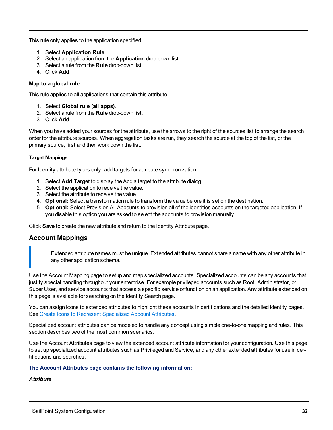This rule only applies to the application specified.

- 1. Select **Application Rule**.
- 2. Select an application from the **Application** drop-down list.
- 3. Select a rule from the **Rule** drop-down list.
- 4. Click **Add**.

# **Map to a global rule.**

This rule applies to all applications that contain this attribute.

- 1. Select **Global rule (all apps)**.
- 2. Select a rule from the **Rule** drop-down list.
- 3. Click **Add**.

When you have added your sources for the attribute, use the arrows to the right of the sources list to arrange the search order for the attribute sources. When aggregation tasks are run, they search the source at the top of the list, or the primary source, first and then work down the list.

# **Target Mappings**

For Identity attribute types only, add targets for attribute synchronization

- 1. Select **Add Target** to display the Add a target to the attribute dialog.
- 2. Select the application to receive the value.
- 3. Select the attribute to receive the value.
- 4. **Optional:** Select a transformation rule to transform the value before it is set on the destination.
- 5. **Optional:** Select Provision All Accounts to provision all of the identities accounts on the targeted application. If you disable this option you are asked to select the accounts to provision manually.

Click **Save** to create the new attribute and return to the Identity Attribute page.

# **Account Mappings**

Extended attribute names must be unique. Extended attributes cannot share a name with any other attribute in any other application schema.

Use the Account Mapping page to setup and map specialized accounts. Specialized accounts can be any accounts that justify special handling throughout your enterprise. For example privileged accounts such as Root, Administrator, or Super User, and service accounts that access a specific service or function on an application. Any attribute extended on this page is available for searching on the Identity Search page.

You can assign icons to extended attributes to highlight these accounts in certifications and the detailed identity pages. See Create Icons to Represent [Specialized](#page-41-0) Account Attributes.

Specialized account attributes can be modeled to handle any concept using simple one-to-one mapping and rules. This section describes two of the most common scenarios.

Use the Account Attributes page to view the extended account attribute information for your configuration. Use this page to set up specialized account attributes such as Privileged and Service, and any other extended attributes for use in certifications and searches.

# **The Account Attributes page contains the following information:**

# *Attribute*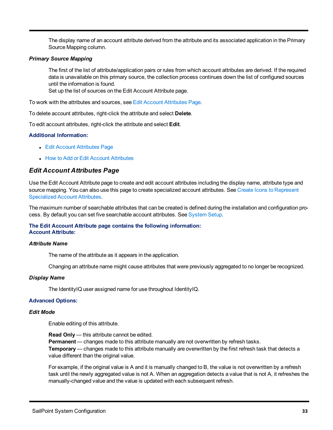The display name of an account attribute derived from the attribute and its associated application in the Primary Source Mapping column.

# *Primary Source Mapping*

The first of the list of attribute/application pairs or rules from which account attributes are derived. If the required data is unavailable on this primary source, the collection process continues down the list of configured sources until the information is found.

Set up the list of sources on the Edit Account Attribute page.

To work with the attributes and sources, see Edit Account [Attributes](#page-38-0) Page.

To delete account attributes, right-click the attribute and select **Delete**.

To edit account attributes, right-click the attribute and select **Edit**.

# **Additional Information:**

- Edit Account [Attributes](#page-38-0) Page
- **How to Add or Edit Account [Attributes](#page-39-0)**

# <span id="page-38-0"></span>*Edit Account Attributes Page*

Use the Edit Account Attribute page to create and edit account attributes including the display name, attribute type and source mapping. You can also use this page to create specialized account attributes. See Create Icons to [Represent](#page-41-0) [Specialized](#page-41-0) Account Attributes.

The maximum number of searchable attributes that can be created is defined during the installation and configuration pro-cess. By default you can set five searchable account attributes. See [System](#page-6-0) Setup.

# **The Edit Account Attribute page contains the following information: Account Attribute:**

#### *Attribute Name*

The name of the attribute as it appears in the application.

Changing an attribute name might cause attributes that were previously aggregated to no longer be recognized.

#### *Display Name*

The IdentityIQ user assigned name for use throughout IdentityIQ.

# **Advanced Options:**

#### *Edit Mode*

Enable editing of this attribute.

**Read Only** — this attribute cannot be edited. **Permanent** — changes made to this attribute manually are not overwritten by refresh tasks. **Temporary** — changes made to this attribute manually are overwritten by the first refresh task that detects a value different than the original value.

For example, if the original value is A and it is manually changed to B, the value is not overwritten by a refresh task until the newly aggregated value is not A. When an aggregation detects a value that is not A, it refreshes the manually-changed value and the value is updated with each subsequent refresh.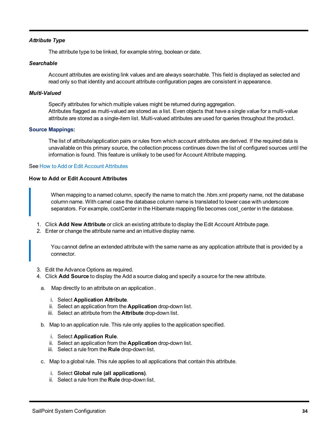# *Attribute Type*

The attribute type to be linked, for example string, boolean or date.

#### *Searchable*

Account attributes are existing link values and are always searchable. This field is displayed as selected and read only so that identity and account attribute configuration pages are consistent in appearance.

#### *Multi-Valued*

Specify attributes for which multiple values might be returned during aggregation. Attributes flagged as multi-valued are stored as a list. Even objects that have a single value for a multi-value attribute are stored as a single-item list. Multi-valued attributes are used for queries throughout the product.

#### **Source Mappings:**

The list of attribute/application pairs or rules from which account attributes are derived. If the required data is unavailable on this primary source, the collection process continues down the list of configured sources until the information is found. This feature is unlikely to be used for Account Attribute mapping.

#### <span id="page-39-0"></span>See How to Add or Edit Account [Attributes](#page-39-0)

# **How to Add or Edit Account Attributes**

When mapping to a named column, specify the name to match the .hbm.xml property name, not the database column name. With camel case the database column name is translated to lower case with underscore separators. For example, costCenter in the Hibernate mapping file becomes cost\_center in the database.

- 1. Click **Add New Attribute** or click an existing attribute to display the Edit Account Attribute page.
- 2. Enter or change the attribute name and an intuitive display name.

You cannot define an extended attribute with the same name as any application attribute that is provided by a connector.

- 3. Edit the Advance Options as required.
- 4. Click **Add Source** to display the Add a source dialog and specify a source for the new attribute.
	- a. Map directly to an attribute on an application .
		- i. Select **Application Attribute**.
		- ii. Select an application from the **Application** drop-down list.
		- iii. Select an attribute from the **Attribute** drop-down list.
	- b. Map to an application rule. This rule only applies to the application specified.
		- i. Select **Application Rule**.
		- ii. Select an application from the **Application** drop-down list.
		- iii. Select a rule from the **Rule** drop-down list.
	- c. Map to a global rule. This rule applies to all applications that contain this attribute.
		- i. Select **Global rule (all applications)**.
		- ii. Select a rule from the **Rule** drop-down list.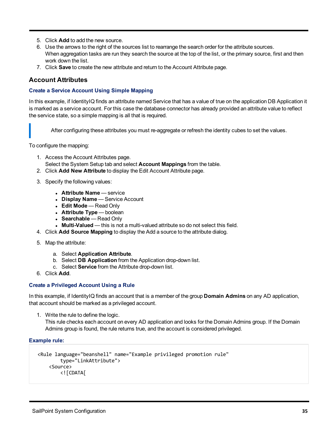- 5. Click **Add** to add the new source.
- 6. Use the arrows to the right of the sources list to rearrange the search order for the attribute sources. When aggregation tasks are run they search the source at the top of the list, or the primary source, first and then work down the list.
- 7. Click **Save** to create the new attribute and return to the Account Attribute page.

# **Account Attributes**

# **Create a Service Account Using Simple Mapping**

In this example, if IdentityIQ finds an attribute named Service that has a value of true on the application DB Application it is marked as a service account. For this case the database connector has already provided an attribute value to reflect the service state, so a simple mapping is all that is required.

After configuring these attributes you must re-aggregate or refresh the identity cubes to set the values.

To configure the mapping:

- 1. Access the Account Attributes page. Select the System Setup tab and select **Account Mappings** from the table.
- 2. Click **Add New Attribute** to display the Edit Account Attribute page.
- 3. Specify the following values:
	- **Attribute Name** service
	- **Display Name** Service Account
	- <sup>l</sup> **Edit Mode** Read Only
	- **Attribute Type** boolean
	- **Searchable** Read Only
	- **Multi-Valued** this is not a multi-valued attribute so do not select this field.
- 4. Click **Add Source Mapping** to display the Add a source to the attribute dialog.
- 5. Map the attribute:
	- a. Select **Application Attribute**.
	- b. Select **DB Application** from the Application drop-down list.
	- c. Select **Service** from the Attribute drop-down list.
- 6. Click **Add**.

# **Create a Privileged Account Using a Rule**

In this example, if IdentityIQ finds an account that is a member of the group **Domain Admins** on any AD application, that account should be marked as a privileged account.

1. Write the rule to define the logic.

This rule checks each account on every AD application and looks for the Domain Admins group. If the Domain Admins group is found, the rule returns true, and the account is considered privileged.

# **Example rule:**

```
<Rule language="beanshell" name="Example privileged promotion rule"
       type="LinkAttribute">
    <Source>
       <![CDATA[
```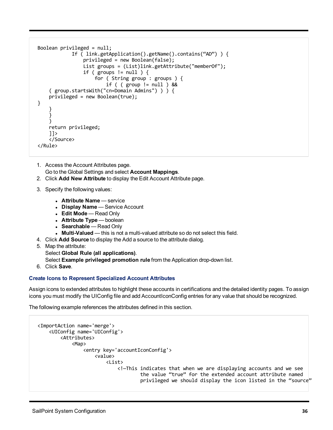```
Boolean privileged = null; 
            If ( link.getApplication().getName().contains("AD") ) { 
                privileged = new Boolean(false);
                List groups = (List)link.getAttribute("memberOf");
                if ( groups != null ) {
                    for ( String group : groups ) {
                        if ( ( group != null ) &&
    ( group.startsWith("cn=Domain Admins") ) ) {
   privileged = new Boolean(true);
}
    }
    }
    )
    return privileged;
    ]]>
   </Source>
</Rule>
```
- 1. Access the Account Attributes page. Go to the Global Settings and select **Account Mappings**.
- 2. Click **Add New Attribute** to display the Edit Account Attribute page.
- 3. Specify the following values:
	- **Attribute Name** service
	- **Display Name** Service Account
	- <sup>l</sup> **Edit Mode** Read Only
	- **Attribute Type** boolean
	- **Searchable** Read Only
	- **Multi-Valued** this is not a multi-valued attribute so do not select this field.
- 4. Click **Add Source** to display the Add a source to the attribute dialog.
- 5. Map the attribute:

Select **Global Rule (all applications)**.

Select **Example privileged promotion rule** from the Application drop-down list.

6. Click **Save**.

# <span id="page-41-0"></span>**Create Icons to Represent Specialized Account Attributes**

Assign icons to extended attributes to highlight these accounts in certifications and the detailed identity pages. To assign icons you must modify the UIConfig file and add AccountIconConfig entries for any value that should be recognized.

The following example references the attributes defined in this section.

```
<ImportAction name='merge'>
   <UIConfig name='UIConfig'>
        <Attributes>
            <Map>
                <entry key='accountIconConfig'>
                    <value>
                        <List>
                            <!—This indicates that when we are displaying accounts and we see
                                    the value "true" for the extended account attribute named 
                                    privileged we should display the icon listed in the "source"
```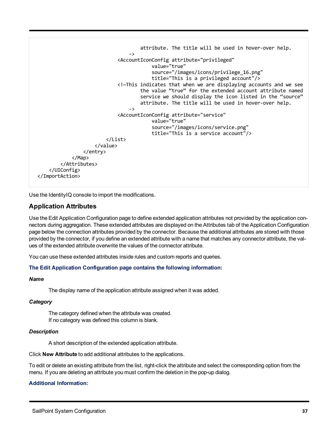```
attribute. The title will be used in hover-over help.
                                ->
                            <AccountIconConfig attribute="privileged"
                                         value="true"
                                         source="/images/icons/privilege_16.png"
                                         title="This is a privileged account"/>
                            <!—This indicates that when we are displaying accounts and we see 
                                    the value "true" for the extended account attribute named 
                                    service we should display the icon listed in the "source" 
                                    attribute. The title will be used in hover-over help.
                                ->
                            <AccountIconConfig attribute="service"
                                        value="true"
                                         source="/images/icons/service.png"
                                         title="This is a service account"/>
                        </List>
                    </value>
                </entry>
            </Map>
        </Attributes>
   </UIConfig>
</ImportAction>
```
Use the IdentityIQ console to import the modifications.

# **Application Attributes**

Use the Edit Application Configuration page to define extended application attributes not provided by the application connectors during aggregation. These extended attributes are displayed on the Attributes tab of the Application Configuration page below the connection attributes provided by the connector. Because the additional attributes are stored with those provided by the connector, if you define an extended attribute with a name that matches any connector attribute, the values of the extended attribute overwrite the values of the connector attribute.

You can use these extended attributes inside rules and custom reports and queries.

# **The Edit Application Configuration page contains the following information:**

# *Name*

The display name of the application attribute assigned when it was added.

# *Category*

The category defined when the attribute was created. If no category was defined this column is blank.

# *Description*

A short description of the extended application attribute.

Click **New Attribute** to add additional attributes to the applications.

To edit or delete an existing attribute from the list, right-click the attribute and select the corresponding option from the menu. If you are deleting an attribute you must confirm the deletion in the pop-up dialog.

# **Additional Information:**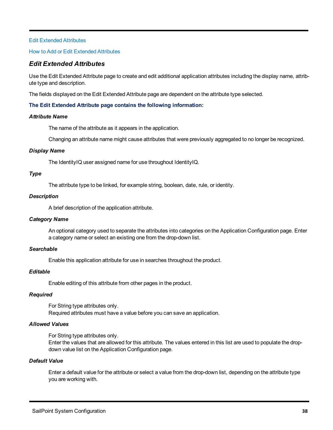# Edit Extended [Attributes](#page-43-0)

# <span id="page-43-0"></span>How to Add or Edit Extended [Attributes](#page-44-0)

# *Edit Extended Attributes*

Use the Edit Extended Attribute page to create and edit additional application attributes including the display name, attribute type and description.

The fields displayed on the Edit Extended Attribute page are dependent on the attribute type selected.

# **The Edit Extended Attribute page contains the following information:**

# *Attribute Name*

The name of the attribute as it appears in the application.

Changing an attribute name might cause attributes that were previously aggregated to no longer be recognized.

# *Display Name*

The IdentityIQ user assigned name for use throughout IdentityIQ.

# *Type*

The attribute type to be linked, for example string, boolean, date, rule, or identity.

# *Description*

A brief description of the application attribute.

# *Category Name*

An optional category used to separate the attributes into categories on the Application Configuration page. Enter a category name or select an existing one from the drop-down list.

# *Searchable*

Enable this application attribute for use in searches throughout the product.

# *Editable*

Enable editing of this attribute from other pages in the product.

# *Required*

For String type attributes only. Required attributes must have a value before you can save an application.

# *Allowed Values*

For String type attributes only.

Enter the values that are allowed for this attribute. The values entered in this list are used to populate the dropdown value list on the Application Configuration page.

# *Default Value*

Enter a default value for the attribute or select a value from the drop-down list, depending on the attribute type you are working with.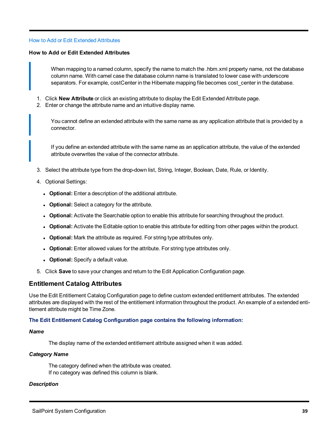#### <span id="page-44-0"></span>How to Add or Edit Extended [Attributes](#page-44-0)

#### **How to Add or Edit Extended Attributes**

When mapping to a named column, specify the name to match the .hbm.xml property name, not the database column name. With camel case the database column name is translated to lower case with underscore separators. For example, costCenter in the Hibernate mapping file becomes cost center in the database.

- 1. Click **New Attribute** or click an existing attribute to display the Edit Extended Attribute page.
- 2. Enter or change the attribute name and an intuitive display name.

You cannot define an extended attribute with the same name as any application attribute that is provided by a connector.

If you define an extended attribute with the same name as an application attribute, the value of the extended attribute overwrites the value of the connector attribute.

- 3. Select the attribute type from the drop-down list, String, Integer, Boolean, Date, Rule, or Identity.
- 4. Optional Settings:
	- **.** Optional: Enter a description of the additional attribute.
	- Optional: Select a category for the attribute.
	- **Optional:** Activate the Searchable option to enable this attribute for searching throughout the product.
	- **Optional:** Activate the Editable option to enable this attribute for editing from other pages within the product.
	- **.** Optional: Mark the attribute as required. For string type attributes only.
	- **.** Optional: Enter allowed values for the attribute. For string type attributes only.
	- **Optional:** Specify a default value.
- 5. Click **Save** to save your changes and return to the Edit Application Configuration page.

# **Entitlement Catalog Attributes**

Use the Edit Entitlement Catalog Configuration page to define custom extended entitlement attributes. The extended attributes are displayed with the rest of the entitlement information throughout the product. An example of a extended entitlement attribute might be Time Zone.

# **The Edit Entitlement Catalog Configuration page contains the following information:**

#### *Name*

The display name of the extended entitlement attribute assigned when it was added.

#### *Category Name*

The category defined when the attribute was created. If no category was defined this column is blank.

# *Description*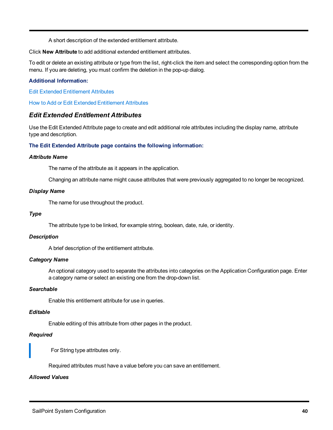A short description of the extended entitlement attribute.

Click **New Attribute** to add additional extended entitlement attributes.

To edit or delete an existing attribute or type from the list, right-click the item and select the corresponding option from the menu. If you are deleting, you must confirm the deletion in the pop-up dialog.

# **Additional Information:**

Edit Extended [Entitlement](#page-45-0) Attributes

<span id="page-45-0"></span>How to Add or Edit Extended [Entitlement](#page-46-0) Attributes

# *Edit Extended Entitlement Attributes*

Use the Edit Extended Attribute page to create and edit additional role attributes including the display name, attribute type and description.

# **The Edit Extended Attribute page contains the following information:**

#### *Attribute Name*

The name of the attribute as it appears in the application.

Changing an attribute name might cause attributes that were previously aggregated to no longer be recognized.

#### *Display Name*

The name for use throughout the product.

#### *Type*

The attribute type to be linked, for example string, boolean, date, rule, or identity.

# *Description*

A brief description of the entitlement attribute.

# *Category Name*

An optional category used to separate the attributes into categories on the Application Configuration page. Enter a category name or select an existing one from the drop-down list.

# *Searchable*

Enable this entitlement attribute for use in queries.

# *Editable*

Enable editing of this attribute from other pages in the product.

# *Required*

For String type attributes only.

Required attributes must have a value before you can save an entitlement.

# *Allowed Values*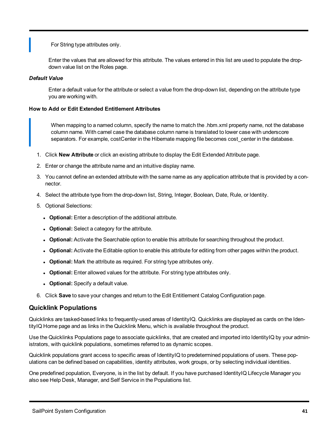For String type attributes only.

Enter the values that are allowed for this attribute. The values entered in this list are used to populate the dropdown value list on the Roles page.

# *Default Value*

Enter a default value for the attribute or select a value from the drop-down list, depending on the attribute type you are working with.

# <span id="page-46-0"></span>**How to Add or Edit Extended Entitlement Attributes**

When mapping to a named column, specify the name to match the .hbm.xml property name, not the database column name. With camel case the database column name is translated to lower case with underscore separators. For example, costCenter in the Hibernate mapping file becomes cost center in the database.

- 1. Click **New Attribute** or click an existing attribute to display the Edit Extended Attribute page.
- 2. Enter or change the attribute name and an intuitive display name.
- 3. You cannot define an extended attribute with the same name as any application attribute that is provided by a connector.
- 4. Select the attribute type from the drop-down list, String, Integer, Boolean, Date, Rule, or Identity.
- 5. Optional Selections:
	- **.** Optional: Enter a description of the additional attribute.
	- **.** Optional: Select a category for the attribute.
	- **Optional:** Activate the Searchable option to enable this attribute for searching throughout the product.
	- **Optional:** Activate the Editable option to enable this attribute for editing from other pages within the product.
	- Optional: Mark the attribute as required. For string type attributes only.
	- **.** Optional: Enter allowed values for the attribute. For string type attributes only.
	- **Optional:** Specify a default value.
- 6. Click **Save** to save your changes and return to the Edit Entitlement Catalog Configuration page.

# **Quicklink Populations**

Quicklinks are tasked-based links to frequently-used areas of IdentityIQ. Quicklinks are displayed as cards on the IdentityIQ Home page and as links in the Quicklink Menu, which is available throughout the product.

Use the Quicklinks Populations page to associate quicklinks, that are created and imported into IdentityIQ by your administrators, with quicklink populations, sometimes referred to as dynamic scopes.

Quicklink populations grant access to specific areas of IdentityIQ to predetermined populations of users. These populations can be defined based on capabilities, identity attributes, work groups, or by selecting individual identities.

One predefined population, Everyone, is in the list by default. If you have purchased IdentityIQ Lifecycle Manager you also see Help Desk, Manager, and Self Service in the Populations list.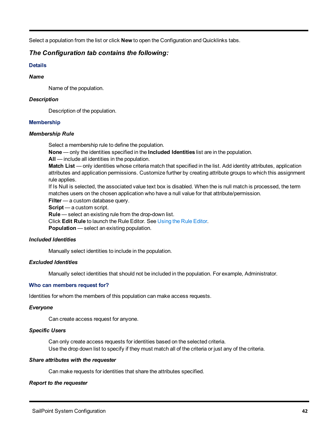Select a population from the list or click **New** to open the Configuration and Quicklinks tabs.

# *The Configuration tab contains the following:*

# **Details**

# *Name*

Name of the population.

# *Description*

Description of the population.

# **Membership**

# *Membership Rule*

Select a membership rule to define the population.

**None** — only the identities specified in the **Included Identities** list are in the population.

**All** — include all identities in the population.

**Match List** — only identities whose criteria match that specified in the list. Add identity attributes, application attributes and application permissions. Customize further by creating attribute groups to which this assignment rule applies.

If Is Null is selected, the associated value text box is disabled. When the is null match is processed, the term matches users on the chosen application who have a null value for that attribute/permission.

**Filter** — a custom database query.

**Script** — a custom script.

**Rule** — select an existing rule from the drop-down list.

Click **Edit Rule** to launch the Rule Editor. See Using the Rule [Editor](#page-8-0).

**Population** — select an existing population.

# *Included Identities*

Manually select identities to include in the population.

# *Excluded Identities*

Manually select identities that should not be included in the population. For example, Administrator.

# **Who can members request for?**

Identities for whom the members of this population can make access requests.

# *Everyone*

Can create access request for anyone.

# *Specific Users*

Can only create access requests for identities based on the selected criteria. Use the drop down list to specify if they must match all of the criteria or just any of the criteria.

# *Share attributes with the requester*

Can make requests for identities that share the attributes specified.

# *Report to the requester*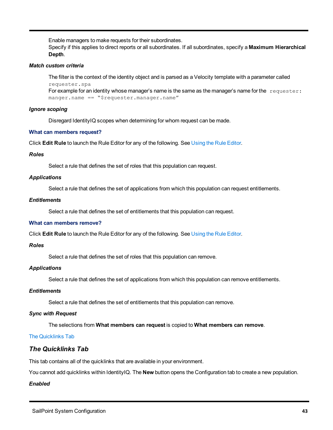Enable managers to make requests for their subordinates.

Specify if this applies to direct reports or all subordinates. If all subordinates, specify a **Maximum Hierarchical Depth**.

# *Match custom criteria*

The filter is the context of the identity object and is parsed as a Velocity template with a parameter called requester.spa For example for an identity whose manager's name is the same as the manager's name for the requester:

manger.name == "\$requester.manager.name"

# *Ignore scoping*

Disregard IdentityIQ scopes when determining for whom request can be made.

# **What can members request?**

Click **Edit Rule** to launch the Rule Editor for any of the following. See [Using](#page-8-0) the Rule Editor.

# *Roles*

Select a rule that defines the set of roles that this population can request.

# *Applications*

Select a rule that defines the set of applications from which this population can request entitlements.

# *Entitlements*

Select a rule that defines the set of entitlements that this population can request.

# **What can members remove?**

Click **Edit Rule** to launch the Rule Editor for any of the following. See [Using](#page-8-0) the Rule Editor.

# *Roles*

Select a rule that defines the set of roles that this population can remove.

# *Applications*

Select a rule that defines the set of applications from which this population can remove entitlements.

# *Entitlements*

Select a rule that defines the set of entitlements that this population can remove.

# *Sync with Request*

The selections from **What members can request** is copied to **What members can remove**.

# <span id="page-48-0"></span>The [Quicklinks](#page-48-0) Tab

# *The Quicklinks Tab*

This tab contains all of the quicklinks that are available in your environment.

You cannot add quicklinks within IdentityIQ. The **New** button opens the Configuration tab to create a new population.

# *Enabled*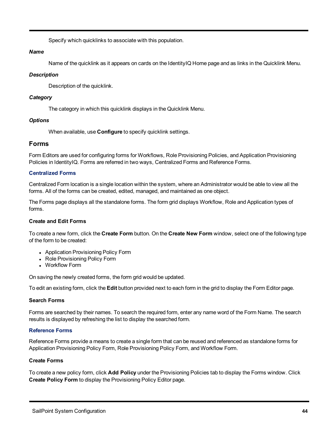Specify which quicklinks to associate with this population.

# *Name*

Name of the quicklink as it appears on cards on the IdentityIQ Home page and as links in the Quicklink Menu.

# *Description*

Description of the quicklink.

# *Category*

The category in which this quicklink displays in the Quicklink Menu.

# *Options*

When available, use **Configure** to specify quicklink settings.

# **Forms**

Form Editors are used for configuring forms for Workflows, Role Provisioning Policies, and Application Provisioning Policies in IdentityIQ. Forms are referred in two ways, Centralized Forms and Reference Forms.

# **Centralized Forms**

Centralized Form location is a single location within the system, where an Administrator would be able to view all the forms. All of the forms can be created, edited, managed, and maintained as one object.

The Forms page displays all the standalone forms. The form grid displays Workflow, Role and Application types of forms.

# **Create and Edit Forms**

To create a new form, click the **Create Form** button. On the **Create New Form** window, select one of the following type of the form to be created:

- Application Provisioning Policy Form
- Role Provisioning Policy Form
- Workflow Form

On saving the newly created forms, the form grid would be updated.

To edit an existing form, click the **Edit** button provided next to each form in the grid to display the Form Editor page.

# **Search Forms**

Forms are searched by their names. To search the required form, enter any name word of the Form Name. The search results is displayed by refreshing the list to display the searched form.

# **Reference Forms**

Reference Forms provide a means to create a single form that can be reused and referenced as standalone forms for Application Provisioning Policy Form, Role Provisioning Policy Form, and Workflow Form.

# **Create Forms**

To create a new policy form, click **Add Policy** under the Provisioning Policies tab to display the Forms window. Click **Create Policy Form** to display the Provisioning Policy Editor page.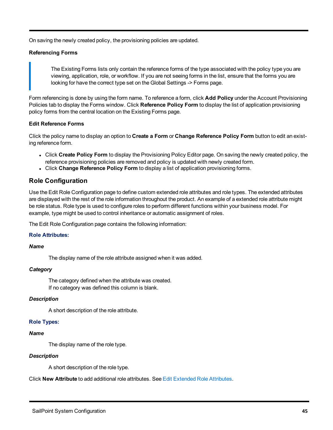On saving the newly created policy, the provisioning policies are updated.

# **Referencing Forms**

The Existing Forms lists only contain the reference forms of the type associated with the policy type you are viewing, application, role, or workflow. If you are not seeing forms in the list, ensure that the forms you are looking for have the correct type set on the Global Settings -> Forms page.

Form referencing is done by using the form name. To reference a form, click **Add Policy** under the Account Provisioning Policies tab to display the Forms window. Click **Reference Policy Form** to display the list of application provisioning policy forms from the central location on the Existing Forms page.

# **Edit Reference Forms**

Click the policy name to display an option to **Create a Form** or **Change Reference Policy Form** button to edit an existing reference form.

- <sup>l</sup> Click **Create Policy Form** to display the Provisioning Policy Editor page. On saving the newly created policy, the reference provisioning policies are removed and policy is updated with newly created form.
- <sup>l</sup> Click **Change Reference Policy Form** to display a list of application provisioning forms.

# **Role Configuration**

Use the Edit Role Configuration page to define custom extended role attributes and role types. The extended attributes are displayed with the rest of the role information throughout the product. An example of a extended role attribute might be role status. Role type is used to configure roles to perform different functions within your business model. For example, type might be used to control inheritance or automatic assignment of roles.

The Edit Role Configuration page contains the following information:

# **Role Attributes:**

# *Name*

The display name of the role attribute assigned when it was added.

# *Category*

The category defined when the attribute was created. If no category was defined this column is blank.

# *Description*

A short description of the role attribute.

# **Role Types:**

# *Name*

The display name of the role type.

# *Description*

A short description of the role type.

Click **New Attribute** to add additional role attributes. See Edit Extended Role [Attributes.](#page-51-0)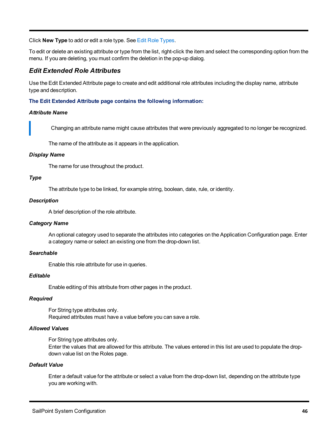Click **New Type** to add or edit a role type. See Edit Role [Types](#page-52-0).

To edit or delete an existing attribute or type from the list, right-click the item and select the corresponding option from the menu. If you are deleting, you must confirm the deletion in the pop-up dialog.

# <span id="page-51-0"></span>*Edit Extended Role Attributes*

Use the Edit Extended Attribute page to create and edit additional role attributes including the display name, attribute type and description.

# **The Edit Extended Attribute page contains the following information:**

# *Attribute Name*

Changing an attribute name might cause attributes that were previously aggregated to no longer be recognized.

The name of the attribute as it appears in the application.

# *Display Name*

The name for use throughout the product.

# *Type*

The attribute type to be linked, for example string, boolean, date, rule, or identity.

# *Description*

A brief description of the role attribute.

# *Category Name*

An optional category used to separate the attributes into categories on the Application Configuration page. Enter a category name or select an existing one from the drop-down list.

# *Searchable*

Enable this role attribute for use in queries.

# *Editable*

Enable editing of this attribute from other pages in the product.

# *Required*

For String type attributes only. Required attributes must have a value before you can save a role.

# *Allowed Values*

For String type attributes only.

Enter the values that are allowed for this attribute. The values entered in this list are used to populate the dropdown value list on the Roles page.

# *Default Value*

Enter a default value for the attribute or select a value from the drop-down list, depending on the attribute type you are working with.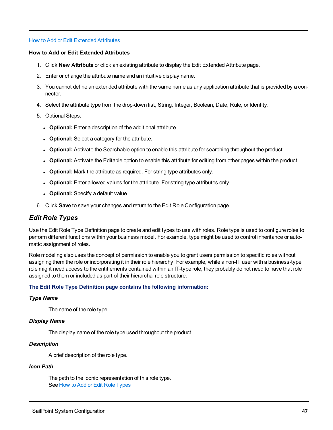# <span id="page-52-1"></span>How to Add or Edit Extended [Attributes](#page-52-1)

#### **How to Add or Edit Extended Attributes**

- 1. Click **New Attribute** or click an existing attribute to display the Edit Extended Attribute page.
- 2. Enter or change the attribute name and an intuitive display name.
- 3. You cannot define an extended attribute with the same name as any application attribute that is provided by a connector.
- 4. Select the attribute type from the drop-down list, String, Integer, Boolean, Date, Rule, or Identity.
- 5. Optional Steps:
	- **Optional:** Enter a description of the additional attribute.
	- **Optional:** Select a category for the attribute.
	- **Optional:** Activate the Searchable option to enable this attribute for searching throughout the product.
	- **Optional:** Activate the Editable option to enable this attribute for editing from other pages within the product.
	- **.** Optional: Mark the attribute as required. For string type attributes only.
	- **.** Optional: Enter allowed values for the attribute. For string type attributes only.
	- **Optional:** Specify a default value.
- 6. Click **Save** to save your changes and return to the Edit Role Configuration page.

# <span id="page-52-0"></span>*Edit Role Types*

Use the Edit Role Type Definition page to create and edit types to use with roles. Role type is used to configure roles to perform different functions within your business model. For example, type might be used to control inheritance or automatic assignment of roles.

Role modeling also uses the concept of permission to enable you to grant users permission to specific roles without assigning them the role or incorporating it in their role hierarchy. For example, while a non-IT user with a business-type role might need access to the entitlements contained within an IT-type role, they probably do not need to have that role assigned to them or included as part of their hierarchal role structure.

# **The Edit Role Type Definition page contains the following information:**

# *Type Name*

The name of the role type.

# *Display Name*

The display name of the role type used throughout the product.

# *Description*

A brief description of the role type.

# *Icon Path*

The path to the iconic representation of this role type. See How to Add or Edit Role [Types](#page-54-0)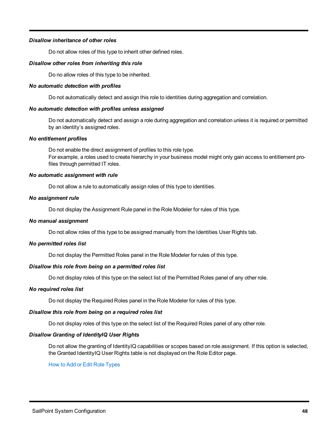# *Disallow inheritance of other roles*

Do not allow roles of this type to inherit other defined roles.

#### *Disallow other roles from inheriting this role*

Do no allow roles of this type to be inherited.

#### *No automatic detection with profiles*

Do not automatically detect and assign this role to identities during aggregation and correlation.

#### *No automatic detection with profiles unless assigned*

Do not automatically detect and assign a role during aggregation and correlation unless it is required or permitted by an identity's assigned roles.

#### *No entitlement profiles*

Do not enable the direct assignment of profiles to this role type. For example, a roles used to create hierarchy in your business model might only gain access to entitlement profiles through permitted IT roles.

#### *No automatic assignment with rule*

Do not allow a rule to automatically assign roles of this type to identities.

#### *No assignment rule*

Do not display the Assignment Rule panel in the Role Modeler for rules of this type.

# *No manual assignment*

Do not allow roles of this type to be assigned manually from the Identities User Rights tab.

# *No permitted roles list*

Do not display the Permitted Roles panel in the Role Modeler for rules of this type.

# *Disallow this role from being on a permitted roles list*

Do not display roles of this type on the select list of the Permitted Roles panel of any other role.

#### *No required roles list*

Do not display the Required Roles panel in the Role Modeler for rules of this type.

# *Disallow this role from being on a required roles list*

Do not display roles of this type on the select list of the Required Roles panel of any other role.

# *Disallow Granting of IdentityIQ User Rights*

Do not allow the granting of IdentityIQ capabilities or scopes based on role assignment. If this option is selected, the Granted IdentityIQ User Rights table is not displayed on the Role Editor page.

#### How to Add or Edit Role [Types](#page-54-0)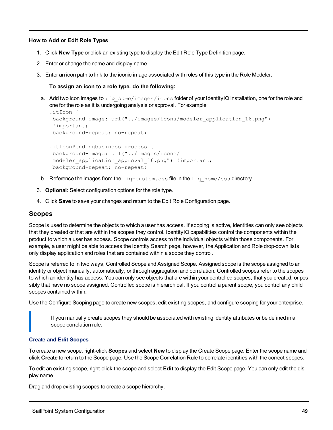# <span id="page-54-0"></span>**How to Add or Edit Role Types**

- 1. Click **New Type** or click an existing type to display the Edit Role Type Definition page.
- 2. Enter or change the name and display name.
- 3. Enter an icon path to link to the iconic image associated with roles of this type in the Role Modeler.

# **To assign an icon to a role type, do the following:**

a. Add two icon images to *iiq home/images/icons folder of your IdentityIQ installation, one for the role and* one for the role as it is undergoing analysis or approval. For example:

```
.itIcon {
background-image: url("../images/icons/modeler_application_16.png")
!important;
background-repeat: no-repeat;
```

```
.itIconPendingbusiness process {
background-image: url("../images/icons/
modeler application approval 16.png") !important;
background-repeat: no-repeat;
```
- b. Reference the images from the  $\text{iiq-custom}$ .css file in the  $\text{iiq home}/\text{css}$  directory.
- 3. **Optional:** Select configuration options for the role type.
- 4. Click **Save** to save your changes and return to the Edit Role Configuration page.

# **Scopes**

Scope is used to determine the objects to which a user has access. If scoping is active, identities can only see objects that they created or that are within the scopes they control. IdentityIQ capabilities control the components within the product to which a user has access. Scope controls access to the individual objects within those components. For example, a user might be able to access the Identity Search page, however, the Application and Role drop-down lists only display application and roles that are contained within a scope they control.

Scope is referred to in two ways, Controlled Scope and Assigned Scope. Assigned scope is the scope assigned to an identity or object manually, automatically, or through aggregation and correlation. Controlled scopes refer to the scopes to which an identity has access. You can only see objects that are within your controlled scopes, that you created, or possibly that have no scope assigned. Controlled scope is hierarchical. If you control a parent scope, you control any child scopes contained within.

Use the Configure Scoping page to create new scopes, edit existing scopes, and configure scoping for your enterprise.

If you manually create scopes they should be associated with existing identity attributes or be defined in a scope correlation rule.

# **Create and Edit Scopes**

To create a new scope, right-click **Scopes** and select **New** to display the Create Scope page. Enter the scope name and click **Create** to return to the Scope page. Use the Scope Correlation Rule to correlate identities with the correct scopes.

To edit an existing scope, right-click the scope and select **Edit** to display the Edit Scope page. You can only edit the display name.

Drag and drop existing scopes to create a scope hierarchy.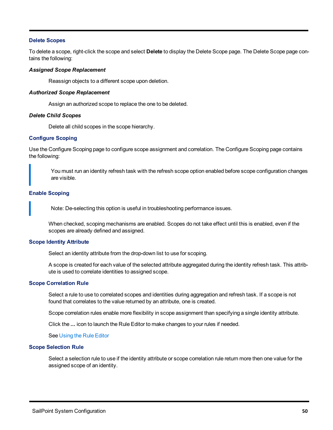# **Delete Scopes**

To delete a scope, right-click the scope and select **Delete** to display the Delete Scope page. The Delete Scope page contains the following:

#### *Assigned Scope Replacement*

Reassign objects to a different scope upon deletion.

#### *Authorized Scope Replacement*

Assign an authorized scope to replace the one to be deleted.

#### *Delete Child Scopes*

Delete all child scopes in the scope hierarchy.

# **Configure Scoping**

Use the Configure Scoping page to configure scope assignment and correlation. The Configure Scoping page contains the following:

You must run an identity refresh task with the refresh scope option enabled before scope configuration changes are visible.

# **Enable Scoping**

Note: De-selecting this option is useful in troubleshooting performance issues.

When checked, scoping mechanisms are enabled. Scopes do not take effect until this is enabled, even if the scopes are already defined and assigned.

#### **Scope Identity Attribute**

Select an identity attribute from the drop-down list to use for scoping.

A scope is created for each value of the selected attribute aggregated during the identity refresh task. This attribute is used to correlate identities to assigned scope.

#### **Scope Correlation Rule**

Select a rule to use to correlated scopes and identities during aggregation and refresh task. If a scope is not found that correlates to the value returned by an attribute, one is created.

Scope correlation rules enable more flexibility in scope assignment than specifying a single identity attribute.

Click the **...** icon to launch the Rule Editor to make changes to your rules if needed.

See [Using](#page-8-0) the Rule Editor

#### **Scope Selection Rule**

Select a selection rule to use if the identity attribute or scope correlation rule return more then one value for the assigned scope of an identity.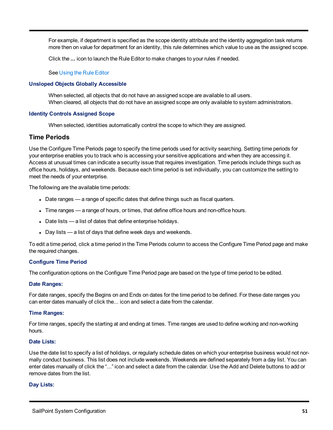For example, if department is specified as the scope identity attribute and the identity aggregation task returns more then on value for department for an identity, this rule determines which value to use as the assigned scope.

Click the **...** icon to launch the Rule Editor to make changes to your rules if needed.

#### See [Using](#page-8-0) the Rule Editor

# **Unsloped Objects Globally Accessible**

When selected, all objects that do not have an assigned scope are available to all users. When cleared, all objects that do not have an assigned scope are only available to system administrators.

# **Identity Controls Assigned Scope**

When selected, identities automatically control the scope to which they are assigned.

# **Time Periods**

Use the Configure Time Periods page to specify the time periods used for activity searching. Setting time periods for your enterprise enables you to track who is accessing your sensitive applications and when they are accessing it. Access at unusual times can indicate a security issue that requires investigation. Time periods include things such as office hours, holidays, and weekends. Because each time period is set individually, you can customize the setting to meet the needs of your enterprise.

The following are the available time periods:

- Date ranges a range of specific dates that define things such as fiscal quarters.
- Time ranges a range of hours, or times, that define office hours and non-office hours.
- $\bullet$  Date lists a list of dates that define enterprise holidays.
- Day lists a list of days that define week days and weekends.

To edit a time period, click a time period in the Time Periods column to access the Configure Time Period page and make the required changes.

# **Configure Time Period**

The configuration options on the Configure Time Period page are based on the type of time period to be edited.

# **Date Ranges:**

For date ranges, specify the Begins on and Ends on dates for the time period to be defined. For these date ranges you can enter dates manually of click the... icon and select a date from the calendar.

# **Time Ranges:**

For time ranges, specify the starting at and ending at times. Time ranges are used to define working and non-working hours.

# **Date Lists:**

Use the date list to specify a list of holidays, or regularly schedule dates on which your enterprise business would not normally conduct business. This list does not include weekends. Weekends are defined separately from a day list. You can enter dates manually of click the "..." icon and select a date from the calendar. Use the Add and Delete buttons to add or remove dates from the list.

# **Day Lists:**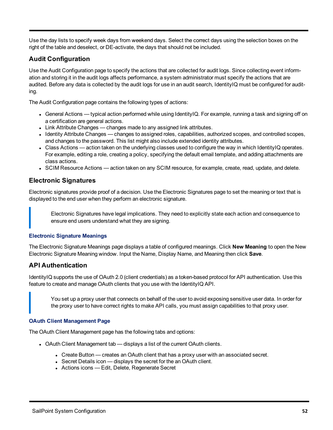Use the day lists to specify week days from weekend days. Select the correct days using the selection boxes on the right of the table and deselect, or DE-activate, the days that should not be included.

# **Audit Configuration**

Use the Audit Configuration page to specify the actions that are collected for audit logs. Since collecting event information and storing it in the audit logs affects performance, a system administrator must specify the actions that are audited. Before any data is collected by the audit logs for use in an audit search, IdentityIQ must be configured for auditing.

The Audit Configuration page contains the following types of actions:

- General Actions typical action performed while using IdentityIQ. For example, running a task and signing off on a certification are general actions.
- Link Attribute Changes changes made to any assigned link attributes.
- Identity Attribute Changes changes to assigned roles, capabilities, authorized scopes, and controlled scopes, and changes to the password. This list might also include extended identity attributes.
- Class Actions action taken on the underlying classes used to configure the way in which IdentityIQ operates. For example, editing a role, creating a policy, specifying the default email template, and adding attachments are class actions.
- SCIM Resource Actions action taken on any SCIM resource, for example, create, read, update, and delete.

# **Electronic Signatures**

Electronic signatures provide proof of a decision. Use the Electronic Signatures page to set the meaning or text that is displayed to the end user when they perform an electronic signature.

Electronic Signatures have legal implications. They need to explicitly state each action and consequence to ensure end users understand what they are signing.

# **Electronic Signature Meanings**

The Electronic Signature Meanings page displays a table of configured meanings. Click **New Meaning** to open the New Electronic Signature Meaning window. Input the Name, Display Name, and Meaning then click **Save**.

# **API Authentication**

IdentityIQ supports the use of OAuth 2.0 (client credentials) as a token-based protocol for API authentication. Use this feature to create and manage OAuth clients that you use with the IdentityIQ API.

You set up a proxy user that connects on behalf of the user to avoid exposing sensitive user data. In order for the proxy user to have correct rights to make API calls, you must assign capabilities to that proxy user.

# **OAuth Client Management Page**

The OAuth Client Management page has the following tabs and options:

- OAuth Client Management tab displays a list of the current OAuth clients.
	- Create Button creates an OAuth client that has a proxy user with an associated secret.
	- Secret Details icon displays the secret for the an OAuth client.
	- Actions icons Edit, Delete, Regenerate Secret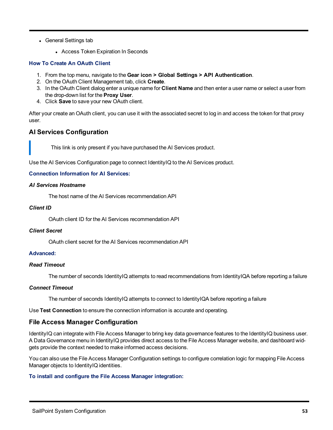- General Settings tab
	- Access Token Expiration In Seconds

# **How To Create An OAuth Client**

- 1. From the top menu, navigate to the **Gear icon > Global Settings > API Authentication**.
- 2. On the OAuth Client Management tab, click **Create**.
- 3. In the OAuth Client dialog enter a unique name for **Client Name** and then enter a user name or select a user from the drop-down list for the **Proxy User**.
- 4. Click **Save** to save your new OAuth client.

After your create an OAuth client, you can use it with the associated secret to log in and access the token for that proxy user.

# **AI Services Configuration**

This link is only present if you have purchased the AI Services product.

Use the AI Services Configuration page to connect IdentityIQ to the AI Services product.

# **Connection Information for AI Services:**

# *AI Services Hostname*

The host name of the AI Services recommendation API

# *Client ID*

OAuth client ID for the AI Services recommendation API

# *Client Secret*

OAuth client secret for the AI Services recommendation API

# **Advanced:**

# *Read Timeout*

The number of seconds IdentityIQ attempts to read recommendations from IdentityIQA before reporting a failure

# *Connect Timeout*

The number of seconds IdentityIQ attempts to connect to IdentityIQA before reporting a failure

Use **Test Connection** to ensure the connection information is accurate and operating.

# **File Access Manager Configuration**

IdentityIQ can integrate with File Access Manager to bring key data governance features to the IdentityIQ business user. A Data Governance menu in IdentityIQ provides direct access to the File Access Manager website, and dashboard widgets provide the context needed to make informed access decisions.

You can also use the File Access Manager Configuration settings to configure correlation logic for mapping File Access Manager objects to IdentityIQ identities.

# **To install and configure the File Access Manager integration:**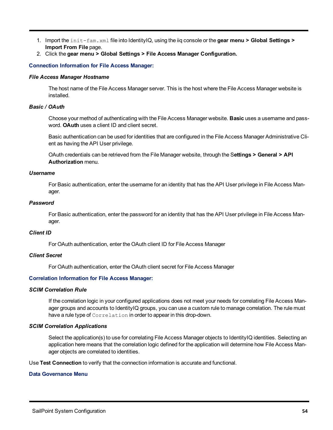- 1. Import the init-fam.xml file into IdentityIQ, using the iiq console or the **gear menu > Global Settings > Import From File** page.
- 2. Click the **gear menu > Global Settings > File Access Manager Configuration.**

#### **Connection Information for File Access Manager:**

#### *File Access Manager Hostname*

The host name of the File Access Manager server. This is the host where the File Access Manager website is installed.

#### *Basic / OAuth*

Choose your method of authenticating with the File Access Manager website. **Basic** uses a username and password. **OAuth** uses a client ID and client secret.

Basic authentication can be used for identities that are configured in the File Access Manager Administrative Client as having the API User privilege.

OAuth credentials can be retrieved from the File Manager website, through the S**ettings > General > API Authorization** menu.

#### *Username*

For Basic authentication, enter the username for an identity that has the API User privilege in File Access Manager.

# *Password*

For Basic authentication, enter the password for an identity that has the API User privilege in File Access Manager.

# *Client ID*

For OAuth authentication, enter the OAuth client ID for File Access Manager

# *Client Secret*

For OAuth authentication, enter the OAuth client secret for File Access Manager

# **Correlation Information for File Access Manager:**

#### *SCIM Correlation Rule*

If the correlation logic in your configured applications does not meet your needs for correlating File Access Manager groups and accounts to IdentityIQ groups, you can use a custom rule to manage correlation. The rule must have a rule type of Correlation in order to appear in this drop-down.

# *SCIM Correlation Applications*

Select the application(s) to use for correlating File Access Manager objects to IdentityIQ identities. Selecting an application here means that the correlation logic defined for the application will determine how File Access Manager objects are correlated to identities.

Use **Test Connection** to verify that the connection information is accurate and functional.

# **Data Governance Menu**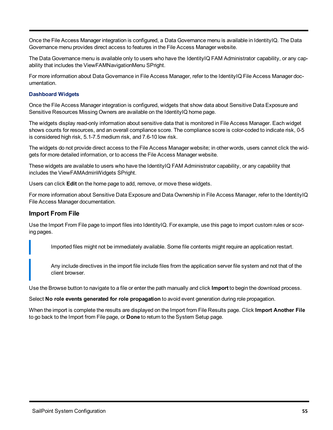Once the File Access Manager integration is configured, a Data Governance menu is available in IdentityIQ. The Data Governance menu provides direct access to features in the File Access Manager website.

The Data Governance menu is available only to users who have the IdentityIQ FAM Administrator capability, or any capability that includes the ViewFAMNavigationMenu SPright.

For more information about Data Governance in File Access Manager, refer to the IdentityIQ File Access Manager documentation.

# **Dashboard Widgets**

Once the File Access Manager integration is configured, widgets that show data about Sensitive Data Exposure and Sensitive Resources Missing Owners are available on the IdentityIQ home page.

The widgets display read-only information about sensitive data that is monitored in File Access Manager. Each widget shows counts for resources, and an overall compliance score. The compliance score is color-coded to indicate risk, 0-5 is considered high risk, 5.1-7.5 medium risk, and 7.6-10 low risk.

The widgets do not provide direct access to the File Access Manager website; in other words, users cannot click the widgets for more detailed information, or to access the File Access Manager website.

These widgets are available to users who have the IdentityIQ FAM Administrator capability, or any capability that includes the ViewFAMAdminWidgets SPright.

Users can click **Edit** on the home page to add, remove, or move these widgets.

For more information about Sensitive Data Exposure and Data Ownership in File Access Manager, refer to the IdentityIQ File Access Manager documentation.

# **Import From File**

Use the Import From File page to import files into IdentityIQ. For example, use this page to import custom rules or scoring pages.

Imported files might not be immediately available. Some file contents might require an application restart.

Any include directives in the import file include files from the application server file system and not that of the client browser.

Use the Browse button to navigate to a file or enter the path manually and click **Import** to begin the download process.

Select **No role events generated for role propagation** to avoid event generation during role propagation.

When the import is complete the results are displayed on the Import from File Results page. Click **Import Another File** to go back to the Import from File page, or **Done** to return to the System Setup page.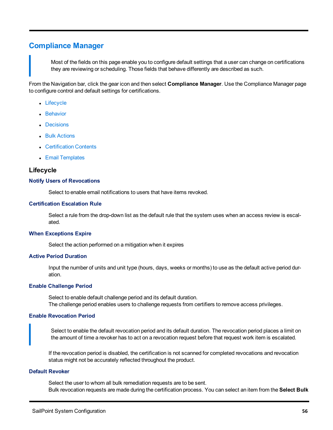# **Compliance Manager**

Most of the fields on this page enable you to configure default settings that a user can change on certifications they are reviewing or scheduling. Those fields that behave differently are described as such.

From the Navigation bar, click the gear icon and then select **Compliance Manager**. Use the Compliance Manager page to configure control and default settings for certifications.

- [Lifecycle](#page-61-0)
- [Behavior](#page-62-0)
- [Decisions](#page-64-0)
- Bulk [Actions](#page-65-0)
- [Certification](#page-65-1) Contents
- Email [Templates](#page-66-0)

# <span id="page-61-0"></span>**Lifecycle**

#### **Notify Users of Revocations**

Select to enable email notifications to users that have items revoked.

#### **Certification Escalation Rule**

Select a rule from the drop-down list as the default rule that the system uses when an access review is escalated.

#### **When Exceptions Expire**

Select the action performed on a mitigation when it expires

#### **Active Period Duration**

Input the number of units and unit type (hours, days, weeks or months) to use as the default active period duration.

#### **Enable Challenge Period**

Select to enable default challenge period and its default duration. The challenge period enables users to challenge requests from certifiers to remove access privileges.

#### **Enable Revocation Period**

Select to enable the default revocation period and its default duration. The revocation period places a limit on the amount of time a revoker has to act on a revocation request before that request work item is escalated.

If the revocation period is disabled, the certification is not scanned for completed revocations and revocation status might not be accurately reflected throughout the product.

#### **Default Revoker**

Select the user to whom all bulk remediation requests are to be sent. Bulk revocation requests are made during the certification process. You can select an item from the **Select Bulk**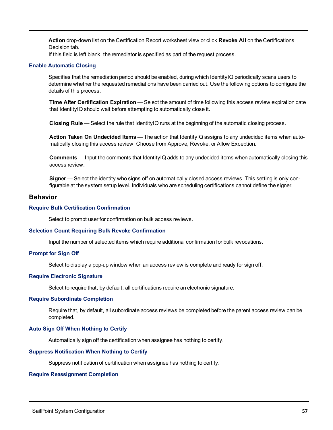**Action** drop-down list on the Certification Report worksheet view or click **Revoke All** on the Certifications Decision tab.

If this field is left blank, the remediator is specified as part of the request process.

#### **Enable Automatic Closing**

Specifies that the remediation period should be enabled, during which IdentityIQ periodically scans users to determine whether the requested remediations have been carried out. Use the following options to configure the details of this process.

**Time After Certification Expiration** — Select the amount of time following this access review expiration date that IdentityIQ should wait before attempting to automatically close it.

**Closing Rule** — Select the rule that IdentityIQ runs at the beginning of the automatic closing process.

**Action Taken On Undecided Items** — The action that IdentityIQ assigns to any undecided items when automatically closing this access review. Choose from Approve, Revoke, or Allow Exception.

**Comments** — Input the comments that IdentityIQ adds to any undecided items when automatically closing this access review.

**Signer** — Select the identity who signs off on automatically closed access reviews. This setting is only configurable at the system setup level. Individuals who are scheduling certifications cannot define the signer.

# <span id="page-62-0"></span>**Behavior**

#### **Require Bulk Certification Confirmation**

Select to prompt user for confirmation on bulk access reviews.

#### **Selection Count Requiring Bulk Revoke Confirmation**

Input the number of selected items which require additional confirmation for bulk revocations.

#### **Prompt for Sign Off**

Select to display a pop-up window when an access review is complete and ready for sign off.

#### **Require Electronic Signature**

Select to require that, by default, all certifications require an electronic signature.

# **Require Subordinate Completion**

Require that, by default, all subordinate access reviews be completed before the parent access review can be completed.

# **Auto Sign Off When Nothing to Certify**

Automatically sign off the certification when assignee has nothing to certify.

#### **Suppress Notification When Nothing to Certify**

Suppress notification of certification when assignee has nothing to certify.

#### **Require Reassignment Completion**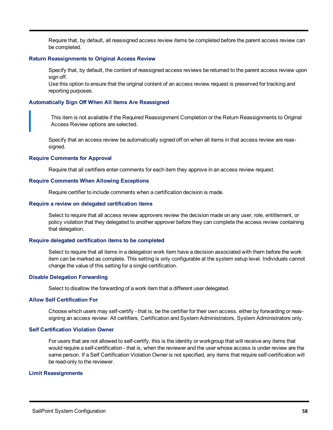Require that, by default, all reassigned access review items be completed before the parent access review can be completed.

#### **Return Reassignments to Original Access Review**

Specify that, by default, the content of reassigned access reviews be returned to the parent access review upon sign off.

Use this option to ensure that the original content of an access review request is preserved for tracking and reporting purposes.

#### **Automatically Sign Off When All Items Are Reassigned**

This item is not available if the Required Reassignment Completion or the Return Reassignments to Original Access Review options are selected.

Specify that an access review be automatically signed off on when all items in that access review are reassigned.

#### **Require Comments for Approval**

Require that all certifiers enter comments for each item they approve in an access review request.

#### **Require Comments When Allowing Exceptions**

Require certifier to include comments when a certification decision is made.

#### **Require a review on delegated certification items**

Select to require that all access review approvers review the decision made on any user, role, entitlement, or policy violation that they delegated to another approver before they can complete the access review containing that delegation.

#### **Require delegated certification items to be completed**

Select to require that all items in a delegation work item have a decision associated with them before the work item can be marked as complete. This setting is only configurable at the system setup level. Individuals cannot change the value of this setting for a single certification.

# **Disable Delegation Forwarding**

Select to disallow the forwarding of a work item that a different user delegated.

#### **Allow Self Certification For**

Choose which users may self-certify - that is, be the certifier for their own access, either by forwarding or reassigning an access review: All certifiers, Certification and System Administrators, System Administrators only.

#### **Self Certification Violation Owner**

For users that are not allowed to self-certify, this is the identity or workgroup that will receive any items that would require a self-certification - that is, when the reviewer and the user whose access is under review are the same person. If a Self Certification Violation Owner is not specified, any items that require self-certification will be read-only to the reviewer.

#### **Limit Reassignments**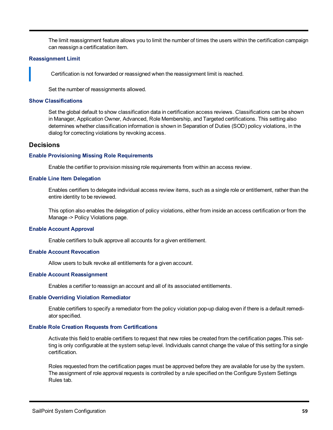The limit reassignment feature allows you to limit the number of times the users within the certification campaign can reassign a certificatation item.

#### **Reassignment Limit**

Certification is not forwarded or reassigned when the reassignment limit is reached.

Set the number of reassignments allowed.

#### **Show Classifications**

Set the global default to show classification data in certification access reviews. Classifications can be shown in Manager, Application Owner, Advanced, Role Membership, and Targeted certifications. This setting also determines whether classification information is shown in Separation of Duties (SOD) policy violations, in the dialog for correcting violations by revoking access.

# <span id="page-64-0"></span>**Decisions**

#### **Enable Provisioning Missing Role Requirements**

Enable the certifier to provision missing role requirements from within an access review.

# **Enable Line Item Delegation**

Enables certifiers to delegate individual access review items, such as a single role or entitlement, rather than the entire identity to be reviewed.

This option also enables the delegation of policy violations, either from inside an access certification or from the Manage -> Policy Violations page.

#### **Enable Account Approval**

Enable certifiers to bulk approve all accounts for a given entitlement.

# **Enable Account Revocation**

Allow users to bulk revoke all entitlements for a given account.

# **Enable Account Reassignment**

Enables a certifier to reassign an account and all of its associated entitlements.

#### **Enable Overriding Violation Remediator**

Enable certifiers to specify a remediator from the policy violation pop-up dialog even if there is a default remediator specified.

# **Enable Role Creation Requests from Certifications**

Activate this field to enable certifiers to request that new roles be created from the certification pages.This setting is only configurable at the system setup level. Individuals cannot change the value of this setting for a single certification.

Roles requested from the certification pages must be approved before they are available for use by the system. The assignment of role approval requests is controlled by a rule specified on the Configure System Settings Rules tab.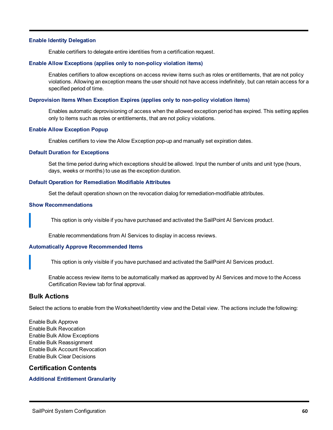# **Enable Identity Delegation**

Enable certifiers to delegate entire identities from a certification request.

#### **Enable Allow Exceptions (applies only to non-policy violation items)**

Enables certifiers to allow exceptions on access review items such as roles or entitlements, that are not policy violations. Allowing an exception means the user should not have access indefinitely, but can retain access for a specified period of time.

#### **Deprovision Items When Exception Expires (applies only to non-policy violation items)**

Enables automatic deprovisioning of access when the allowed exception period has expired. This setting applies only to items such as roles or entitlements, that are not policy violations.

#### **Enable Allow Exception Popup**

Enables certifiers to view the Allow Exception pop-up and manually set expiration dates.

#### **Default Duration for Exceptions**

Set the time period during which exceptions should be allowed. Input the number of units and unit type (hours, days, weeks or months) to use as the exception duration.

#### **Default Operation for Remediation Modifiable Attributes**

Set the default operation shown on the revocation dialog for remediation-modifiable attributes.

#### **Show Recommendations**

This option is only visible if you have purchased and activated the SailPoint AI Services product.

Enable recommendations from AI Services to display in access reviews.

#### **Automatically Approve Recommended Items**

This option is only visible if you have purchased and activated the SailPoint AI Services product.

Enable access review items to be automatically marked as approved by AI Services and move to the Access Certification Review tab for final approval.

# <span id="page-65-0"></span>**Bulk Actions**

Select the actions to enable from the Worksheet/Identity view and the Detail view. The actions include the following:

Enable Bulk Approve Enable Bulk Revocation Enable Bulk Allow Exceptions Enable Bulk Reassignment Enable Bulk Account Revocation Enable Bulk Clear Decisions

# <span id="page-65-1"></span>**Certification Contents**

# **Additional Entitlement Granularity**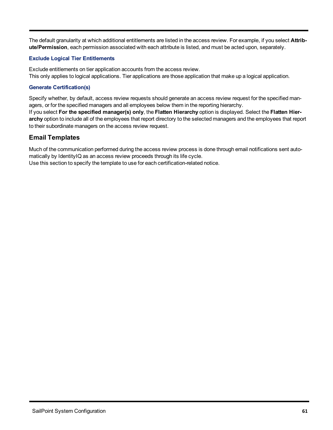The default granularity at which additional entitlements are listed in the access review. For example, if you select **Attribute/Permission**, each permission associated with each attribute is listed, and must be acted upon, separately.

# **Exclude Logical Tier Entitlements**

Exclude entitlements on tier application accounts from the access review. This only applies to logical applications. Tier applications are those application that make up a logical application.

# **Generate Certification(s)**

Specify whether, by default, access review requests should generate an access review request for the specified managers, or for the specified managers and all employees below them in the reporting hierarchy. If you select **For the specified manager(s) only**, the **Flatten Hierarchy** option is displayed. Select the **Flatten Hierarchy** option to include all of the employees that report directory to the selected managers and the employees that report to their subordinate managers on the access review request.

# <span id="page-66-0"></span>**Email Templates**

Much of the communication performed during the access review process is done through email notifications sent automatically by IdentityIQ as an access review proceeds through its life cycle. Use this section to specify the template to use for each certification-related notice.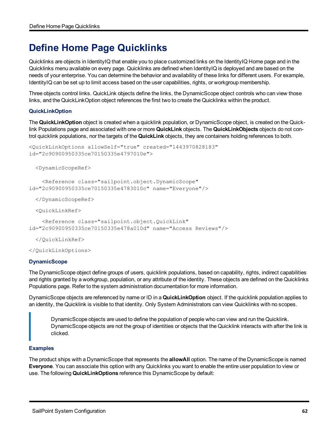# **Define Home Page Quicklinks**

Quicklinks are objects in IdentityIQ that enable you to place customized links on the IdentityIQ Home page and in the Quicklinks menu available on every page. Quicklinks are defined when IdentityIQ is deployed and are based on the needs of your enterprise. You can determine the behavior and availability of these links for different users. For example, IdentityIQ can be set up to limit access based on the user capabilities, rights, or workgroup membership.

Three objects control links. QuickLink objects define the links, the DynamicScope object controls who can view those links, and the QuickLinkOption object references the first two to create the Quicklinks within the product.

# **QuickLinkOption**

The **QuickLinkOption** object is created when a quicklink population, or DynamicScope object, is created on the Quicklink Populations page and associated with one or more **QuickLink** objects. The **QuickLinkObjects** objects do not control quicklink populations, nor the targets of the **QuickLink** objects, they are containers holding references to both.

```
<QuickLinkOptions allowSelf="true" created="1443970828183"
id="2c90900950335ce70150335e4797010e">
```
<DynamicScopeRef>

```
<Reference class="sailpoint.object.DynamicScope"
id="2c90900950335ce70150335e4783010c" name="Everyone"/>
```
</DynamicScopeRef>

<QuickLinkRef>

<Reference class="sailpoint.object.QuickLink" id="2c90900950335ce70150335e478a010d" name="Access Reviews"/>

</QuickLinkRef>

</QuickLinkOptions>

# **DynamicScope**

The DynamicScope object define groups of users, quicklink populations, based on capability, rights, indirect capabilities and rights granted by a workgroup, population, or any attribute of the identity. These objects are defined on the Quicklinks Populations page. Refer to the system administration documentation for more information.

DynamicScope objects are referenced by name or ID in a **QuickLinkOption** object. If the quicklink population applies to an identity, the Quicklink is visible to that identity. Only System Administrators can view Quicklinks with no scopes.

DynamicScope objects are used to define the population of people who can view and run the Quicklink. DynamicScope objects are not the group of identities or objects that the Quicklink interacts with after the link is clicked.

# **Examples**

The product ships with a DynamicScope that represents the **allowAll** option. The name of the DynamicScope is named **Everyone**. You can associate this option with any Quicklinks you want to enable the entire user population to view or use. The following **QuickLinkOptions** reference this DynamicScope by default: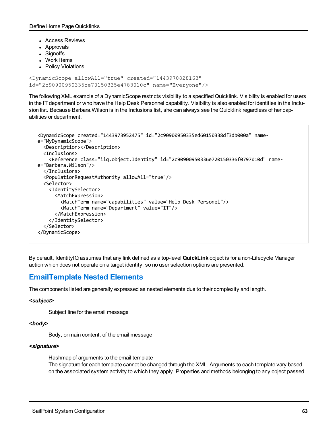- Access Reviews
- Approvals
- Signoffs
- Work Items
- Policy Violations

```
<DynamicScope allowAll="true" created="1443970828163"
id="2c90900950335ce70150335e4783010c" name="Everyone"/>
```
The following XML example of a DynamicScope restricts visibility to a specified Quicklink. Visibility is enabled for users in the IT department or who have the Help Desk Personnel capability. Visibility is also enabled for identities in the Inclusion list. Because Barbara.Wilson is in the Inclusions list, she can always see the Quicklink regardless of her capabilities or department.

```
<DynamicScope created="1443973952475" id="2c90900950335ed60150338df3db000a" name-
e="MyDynamicScope">
    <Description></Description>
    <Inclusions>
        <Reference class="iiq.object.Identity" id="2c90900950336e720150336f0797010d" name-
e="Barbara.Wilson"/>
    </Inclusions>
    <PopulationRequestAuthority allowAll="true"/>
    <Selector>
        <IdentitySelector>
            <MatchExpression>
                <MatchTerm name="capabilities" value="Help Desk Personel"/>
                 <MatchTerm name="Department" value="IT"/>
            </MatchExpression>
        </IdentitySelector>
    </Selector>
</DynamicScope>
```
By default, IdentityIQ assumes that any link defined as a top-level **QuickLink** object is for a non-Lifecycle Manager action which does not operate on a target identity, so no user selection options are presented.

# **EmailTemplate Nested Elements**

The components listed are generally expressed as nested elements due to their complexity and length.

# *<subject>*

Subject line for the email message

#### *<body>*

Body, or main content, of the email message

# *<signature>*

Hashmap of arguments to the email template

The signature for each template cannot be changed through the XML. Arguments to each template vary based on the associated system activity to which they apply. Properties and methods belonging to any object passed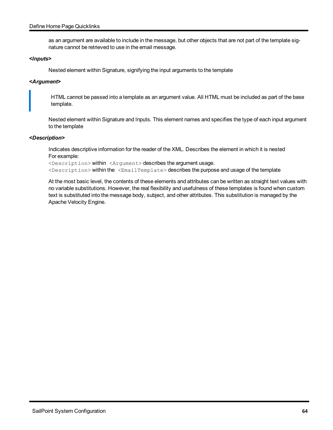# Define Home Page Quicklinks

as an argument are available to include in the message, but other objects that are not part of the template signature cannot be retrieved to use in the email message.

# *<Inputs>*

Nested element within Signature, signifying the input arguments to the template

# *<Argument>*

HTML cannot be passed into a template as an argument value. All HTML must be included as part of the base template.

Nested element within Signature and Inputs. This element names and specifies the type of each input argument to the template

# *<Description>*

Indicates descriptive information for the reader of the XML. Describes the element in which it is nested For example:

<Description> within <Argument> describes the argument usage. <Description> within the <EmailTemplate> describes the purpose and usage of the template

At the most basic level, the contents of these elements and attributes can be written as straight text values with no variable substitutions. However, the real flexibility and usefulness of these templates is found when custom text is substituted into the message body, subject, and other attributes. This substitution is managed by the Apache Velocity Engine.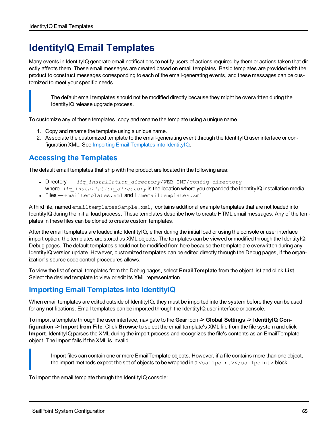# **IdentityIQ Email Templates**

Many events in IdentityIQ generate email notifications to notify users of actions required by them or actions taken that directly affects them. These email messages are created based on email templates. Basic templates are provided with the product to construct messages corresponding to each of the email-generating events, and these messages can be customized to meet your specific needs.

The default email templates should not be modified directly because they might be overwritten during the IdentityIQ release upgrade process.

To customize any of these templates, copy and rename the template using a unique name.

- 1. Copy and rename the template using a unique name.
- 2. Associate the customized template to the email-generating event through the IdentityIQ user interface or configuration XML. See Importing Email [Templates](#page-70-0) into IdentityIQ.

# **Accessing the Templates**

The default email templates that ship with the product are located in the following area:

- Directory *iiq installation directory*/WEB-INF/config directory
- where *iiq* installation directory is the location where you expanded the IdentityIQ installation media
- Files emailtemplates.xml and lcmemailtemplates.xml

A third file, named emailtemplatesSample.xml, contains additional example templates that are not loaded into IdentityIQ during the initial load process. These templates describe how to create HTML email messages. Any of the templates in these files can be cloned to create custom templates.

After the email templates are loaded into IdentityIQ, either during the initial load or using the console or user interface import option, the templates are stored as XML objects. The templates can be viewed or modified through the IdentityIQ Debug pages. The default templates should not be modified from here because the template are overwritten during any IdentityIQ version update. However, customized templates can be edited directly through the Debug pages, if the organization's source code control procedures allows.

<span id="page-70-0"></span>To view the list of email templates from the Debug pages, select **EmailTemplate** from the object list and click **List**. Select the desired template to view or edit its XML representation.

# **Importing Email Templates into IdentityIQ**

When email templates are edited outside of IdentityIQ, they must be imported into the system before they can be used for any notifications. Email templates can be imported through the IdentityIQ user interface or console.

To import a template through the user interface, navigate to the **Gear** icon **-> Global Settings -> IdentityIQ Configuration -> Import from File**. Click **Browse** to select the email template's XML file from the file system and click **Import**. IdentityIQ parses the XML during the import process and recognizes the file's contents as an EmailTemplate object. The import fails if the XML is invalid.

Import files can contain one or more EmailTemplate objects. However, if a file contains more than one object, the import methods expect the set of objects to be wrapped in  $a$   $\langle$ sailpoint $\rangle$  $\langle$ sailpoint $\rangle$ block.

To import the email template through the IdentityIQ console: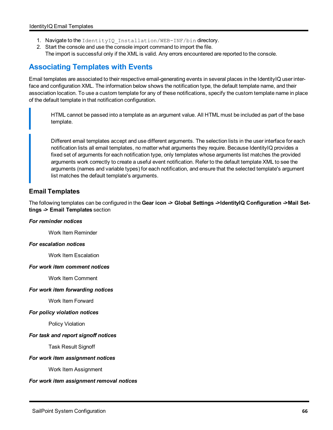- 1. Navigate to the IdentityIQ Installation/WEB-INF/bin directory.
- 2. Start the console and use the console import command to import the file. The import is successful only if the XML is valid. Any errors encountered are reported to the console.

# **Associating Templates with Events**

Email templates are associated to their respective email-generating events in several places in the IdentityIQ user interface and configuration XML. The information below shows the notification type, the default template name, and their association location. To use a custom template for any of these notifications, specify the custom template name in place of the default template in that notification configuration.

HTML cannot be passed into a template as an argument value. All HTML must be included as part of the base template.

Different email templates accept and use different arguments. The selection lists in the user interface for each notification lists all email templates, no matter what arguments they require. Because IdentityIQ provides a fixed set of arguments for each notification type, only templates whose arguments list matches the provided arguments work correctly to create a useful event notification. Refer to the default template XML to see the arguments (names and variable types) for each notification, and ensure that the selected template's argument list matches the default template's arguments.

# **Email Templates**

The following templates can be configured in the **Gear icon -> Global Settings ->IdentityIQ Configuration ->Mail Settings -> Email Templates** section

# *For reminder notices*

Work Item Reminder

# *For escalation notices*

Work Item Escalation

# *For work item comment notices*

Work Item Comment

# *For work item forwarding notices*

Work Item Forward

# *For policy violation notices*

Policy Violation

# *For task and report signoff notices*

Task Result Signoff

# *For work item assignment notices*

Work Item Assignment

# *For work item assignment removal notices*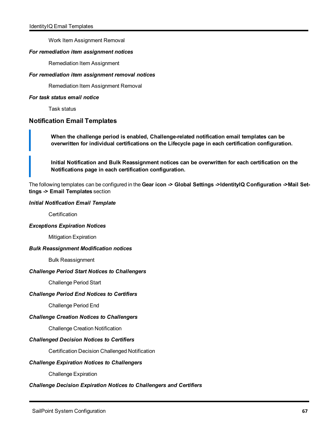Work Item Assignment Removal

### *For remediation item assignment notices*

Remediation Item Assignment

### *For remediation item assignment removal notices*

Remediation Item Assignment Removal

### *For task status email notice*

Task status

## **Notification Email Templates**

**When the challenge period is enabled, Challenge-related notification email templates can be overwritten for individual certifications on the Lifecycle page in each certification configuration.**

**Initial Notification and Bulk Reassignment notices can be overwritten for each certification on the Notifications page in each certification configuration.**

The following templates can be configured in the **Gear icon -> Global Settings ->IdentityIQ Configuration ->Mail Settings -> Email Templates** section

### *Initial Notification Email Template*

**Certification** 

### *Exceptions Expiration Notices*

Mitigation Expiration

#### *Bulk Reassignment Modification notices*

Bulk Reassignment

### *Challenge Period Start Notices to Challengers*

Challenge Period Start

### *Challenge Period End Notices to Certifiers*

Challenge Period End

### *Challenge Creation Notices to Challengers*

Challenge Creation Notification

### *Challenged Decision Notices to Certifiers*

Certification Decision Challenged Notification

### *Challenge Expiration Notices to Challengers*

Challenge Expiration

### *Challenge Decision Expiration Notices to Challengers and Certifiers*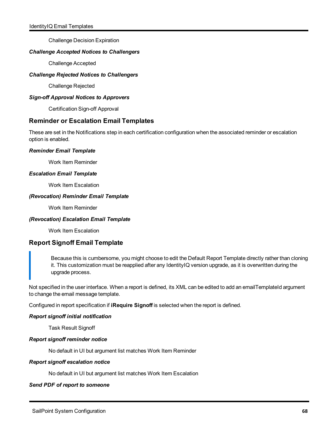Challenge Decision Expiration

## *Challenge Accepted Notices to Challengers*

Challenge Accepted

## *Challenge Rejected Notices to Challengers*

Challenge Rejected

### *Sign-off Approval Notices to Approvers*

Certification Sign-off Approval

## **Reminder or Escalation Email Templates**

These are set in the Notifications step in each certification configuration when the associated reminder or escalation option is enabled.

## *Reminder Email Template*

Work Item Reminder

### *Escalation Email Template*

Work Item Escalation

### *(Revocation) Reminder Email Template*

Work Item Reminder

## *(Revocation) Escalation Email Template*

Work Item Escalation

## **Report Signoff Email Template**

Because this is cumbersome, you might choose to edit the Default Report Template directly rather than cloning it. This customization must be reapplied after any IdentityIQ version upgrade, as it is overwritten during the upgrade process.

Not specified in the user interface. When a report is defined, its XML can be edited to add an emailTemplateId argument to change the email message template.

Configured in report specification if **iRequire Signoff** is selected when the report is defined.

## *Report signoff initial notification*

Task Result Signoff

### *Report signoff reminder notice*

No default in UI but argument list matches Work Item Reminder

### *Report signoff escalation notice*

No default in UI but argument list matches Work Item Escalation

## *Send PDF of report to someone*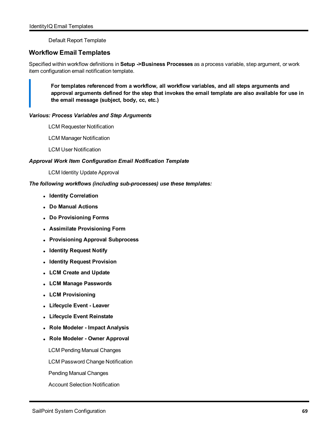Default Report Template

## **Workflow Email Templates**

Specified within workflow definitions in **Setup ->Business Processes** as a process variable, step argument, or work item configuration email notification template.

**For templates referenced from a workflow, all workflow variables, and all steps arguments and approval arguments defined for the step that invokes the email template are also available for use in the email message (subject, body, cc, etc.)**

## *Various: Process Variables and Step Arguments*

- LCM Requester Notification
- LCM Manager Notification
- LCM User Notification

## *Approval Work Item Configuration Email Notification Template*

LCM Identity Update Approval

## *The following workflows (including sub-processes) use these templates:*

- <sup>l</sup> **Identity Correlation**
- <sup>l</sup> **Do Manual Actions**
- <sup>l</sup> **Do Provisioning Forms**
- <sup>l</sup> **Assimilate Provisioning Form**
- <sup>l</sup> **Provisioning Approval Subprocess**
- <sup>l</sup> **Identity Request Notify**
- <sup>l</sup> **Identity Request Provision**
- <sup>l</sup> **LCM Create and Update**
- <sup>l</sup> **LCM Manage Passwords**
- <sup>l</sup> **LCM Provisioning**
- <sup>l</sup> **Lifecycle Event - Leaver**
- <sup>l</sup> **Lifecycle Event Reinstate**
- <sup>l</sup> **Role Modeler - Impact Analysis**
- <sup>l</sup> **Role Modeler - Owner Approval**
	- LCM Pending Manual Changes
	- LCM Password Change Notification
	- Pending Manual Changes
	- Account Selection Notification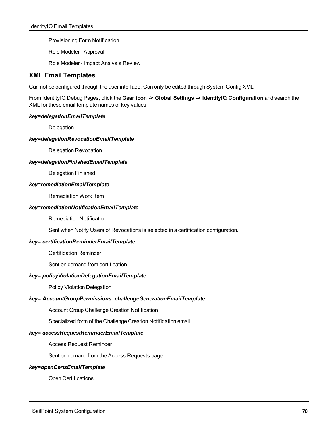Provisioning Form Notification

Role Modeler - Approval

Role Modeler - Impact Analysis Review

## **XML Email Templates**

Can not be configured through the user interface. Can only be edited through System Config XML

From IdentityIQ Debug Pages, click the **Gear icon -> Global Settings -> IdentityIQ Configuration** and search the XML for these email template names or key values

## *key=delegationEmailTemplate*

Delegation

### *key=delegationRevocationEmailTemplate*

Delegation Revocation

*key=delegationFinishedEmailTemplate*

Delegation Finished

### *key=remediationEmailTemplate*

Remediation Work Item

### *key=remediationNotificationEmailTemplate*

Remediation Notification

Sent when Notify Users of Revocations is selected in a certification configuration.

## *key= certificationReminderEmailTemplate*

Certification Reminder

Sent on demand from certification.

## *key= policyViolationDelegationEmailTemplate*

Policy Violation Delegation

## *key= AccountGroupPermissions. challengeGenerationEmailTemplate*

Account Group Challenge Creation Notification

Specialized form of the Challenge Creation Notification email

### *key= accessRequestReminderEmailTemplate*

Access Request Reminder

Sent on demand from the Access Requests page

### *key=openCertsEmailTemplate*

Open Certifications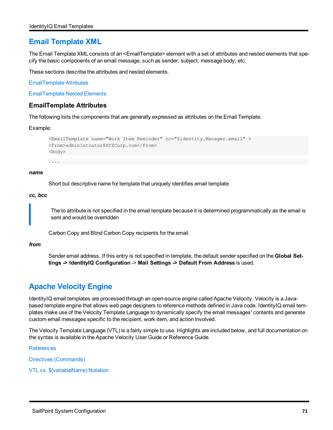## **Email Template XML**

The Email Template XML consists of an <EmailTemplate> element with a set of attributes and nested elements that specify the basic components of an email message, such as sender, subject, message body, etc.

These sections describe the attributes and nested elements.

[EmailTemplate](#page-76-0) Attributes

<span id="page-76-0"></span>[EmailTemplate](#page-68-0) Nested Elements

## **EmailTemplate Attributes**

The following lists the components that are generally expressed as attributes on the Email Template.

Example:

```
<EmailTemplate name="Work Item Reminder" cc="$identity.Manager.email" >
<From>administrator@XYZCorp.com</From>
<Body>
```
....

#### *name*

Short but descriptive name for template that uniquely identifies email template

#### *cc, bcc*

The to attribute is not specified in the email template because it is determined programmatically as the email is sent and would be overridden

Carbon Copy and Blind Carbon Copy recipients for the email

### *from*

Sender email address. If this entry is not specified in template, the default sender specified on the **Global Settings -> IdentityIQ Configuration** -> **Mail Settings -> Default From Address** is used.

## **Apache Velocity Engine**

IdentityIQ email templates are processed through an open-source engine called Apache Velocity. Velocity is a Javabased template engine that allows web page designers to reference methods defined in Java code. IdentityIQ email templates make use of the Velocity Template Language to dynamically specify the email messages' contents and generate custom email messages specific to the recipient, work item, and action involved.

The Velocity Template Language (VTL) is a fairly simple to use. Highlights are included below, and full documentation on the syntax is available in the Apache Velocity User Guide or Reference Guide.

**[References](#page-77-0)** 

Directives [\(Commands\)](#page-77-1)

VTL vs. [\\$\(variableName\)](#page-78-0) Notation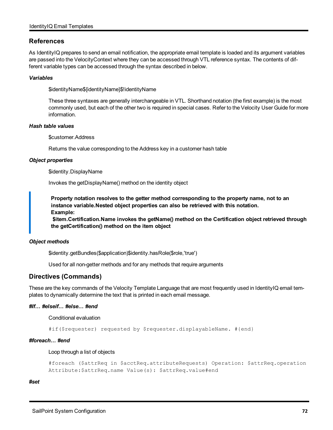## <span id="page-77-0"></span>**References**

As IdentityIQ prepares to send an email notification, the appropriate email template is loaded and its argument variables are passed into the VelocityContext where they can be accessed through VTL reference syntax. The contents of different variable types can be accessed through the syntax described in below.

### *Variables*

\$identityName\${identityName}\$!identityName

These three syntaxes are generally interchangeable in VTL. Shorthand notation (the first example) is the most commonly used, but each of the other two is required in special cases. Refer to the Velocity User Guide for more information.

### *Hash table values*

\$customer.Address

Returns the value corresponding to the Address key in a customer hash table

### *Object properties*

\$identity.DisplayName

Invokes the getDisplayName() method on the identity object

**Property notation resolves to the getter method corresponding to the property name, not to an instance variable.Nested object properties can also be retrieved with this notation. Example:**

**\$item.Certification.Name invokes the getName() method on the Certification object retrieved through the getCertification() method on the item object**

### *Object methods*

\$identity.getBundles(\$application)\$identity.hasRole(\$role,'true')

Used for all non-getter methods and for any methods that require arguments

## <span id="page-77-1"></span>**Directives (Commands)**

These are the key commands of the Velocity Template Language that are most frequently used in IdentityIQ email templates to dynamically determine the text that is printed in each email message.

### *#If… #elseif… #else… #end*

Conditional evaluation

#if(\$requester) requested by \$requester.displayableName. #{end}

#### *#foreach… #end*

Loop through a list of objects

```
#foreach ($attrReq in $acctReq.attributeRequests) Operation: $attrReq.operation
Attribute:$attrReq.name Value(s): $attrReq.value#end
```
*#set*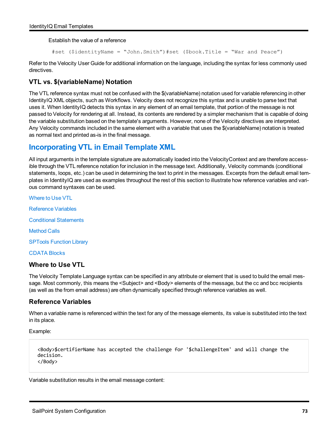Establish the value of a reference

#set (\$identityName = "John.Smith")#set (\$book.Title = "War and Peace")

Refer to the Velocity User Guide for additional information on the language, including the syntax for less commonly used directives.

## <span id="page-78-0"></span>**VTL vs. \$(variableName) Notation**

The VTL reference syntax must not be confused with the \$(variableName) notation used for variable referencing in other IdentityIQ XML objects, such as Workflows. Velocity does not recognize this syntax and is unable to parse text that uses it. When IdentityIQ detects this syntax in any element of an email template, that portion of the message is not passed to Velocity for rendering at all. Instead, its contents are rendered by a simpler mechanism that is capable of doing the variable substitution based on the template's arguments. However, none of the Velocity directives are interpreted. Any Velocity commands included in the same element with a variable that uses the \$(variableName) notation is treated as normal text and printed as-is in the final message.

## **Incorporating VTL in Email Template XML**

All input arguments in the template signature are automatically loaded into the VelocityContext and are therefore accessible through the VTL reference notation for inclusion in the message text. Additionally, Velocity commands (conditional statements, loops, etc.) can be used in determining the text to print in the messages. Excerpts from the default email templates in IdentityIQ are used as examples throughout the rest of this section to illustrate how reference variables and various command syntaxes can be used.

[Where](#page-78-1) to Use VTL

[Reference](#page-78-2) Variables

Conditional [Statements](#page-79-0)

[Method](#page-80-0) Calls

SPTools [Function](#page-81-0) Library

<span id="page-78-1"></span>[CDATA](#page-81-1) Blocks

## **Where to Use VTL**

The Velocity Template Language syntax can be specified in any attribute or element that is used to build the email message. Most commonly, this means the <Subject> and <Body> elements of the message, but the cc and bcc recipients (as well as the from email address) are often dynamically specified through reference variables as well.

## <span id="page-78-2"></span>**Reference Variables**

When a variable name is referenced within the text for any of the message elements, its value is substituted into the text in its place.

Example:

```
<Body>$certifierName has accepted the challenge for '$challengeItem' and will change the
decision.
</Body>
```
Variable substitution results in the email message content: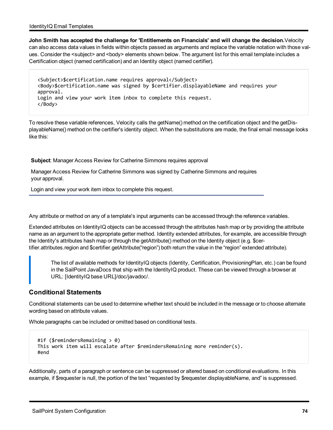**John Smith has accepted the challenge for 'Entitlements on Financials' and will change the decision.**Velocity can also access data values in fields within objects passed as arguments and replace the variable notation with those values. Consider the <subject> and <body> elements shown below. The argument list for this email template includes a Certification object (named certification) and an Identity object (named certifier).

<Subject>\$certification.name requires approval</Subject> <Body>\$certification.name was signed by \$certifier.displayableName and requires your approval. Login and view your work item inbox to complete this request. </Body>

To resolve these variable references, Velocity calls the getName() method on the certification object and the getDisplayableName() method on the certifier's identity object. When the substitutions are made, the final email message looks like this:

**Subject**: Manager Access Review for Catherine Simmons requires approval

Manager Access Review for Catherine Simmons was signed by Catherine Simmons and requires your approval.

Login and view your work item inbox to complete this request.

Any attribute or method on any of a template's input arguments can be accessed through the reference variables.

Extended attributes on IdentityIQ objects can be accessed through the attributes hash map or by providing the attribute name as an argument to the appropriate getter method. Identity extended attributes, for example, are accessible through the Identity's attributes hash map or through the getAttribute() method on the Identity object (e.g. \$certifier.attributes.region and \$certifier.getAttribute("region") both return the value in the "region" extended attribute).

The list of available methods for IdentityIQ objects (Identity, Certification, ProvisioningPlan, etc.) can be found in the SailPoint JavaDocs that ship with the IdentityIQ product. These can be viewed through a browser at URL: [IdentityIQ base URL]/doc/javadoc/.

## <span id="page-79-0"></span>**Conditional Statements**

Conditional statements can be used to determine whether text should be included in the message or to choose alternate wording based on attribute values.

Whole paragraphs can be included or omitted based on conditional tests.

```
#if ($remindersRemaining > 0)
This work item will escalate after $remindersRemaining more reminder(s).
#end
```
Additionally, parts of a paragraph or sentence can be suppressed or altered based on conditional evaluations. In this example, if \$requester is null, the portion of the text "requested by \$requester.displayableName, and" is suppressed.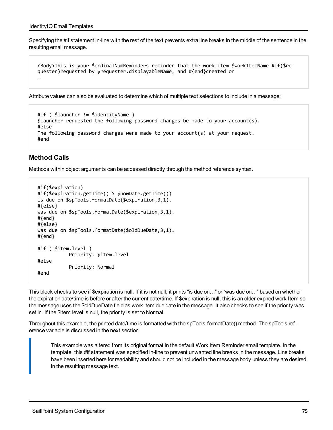Specifying the #if statement in-line with the rest of the text prevents extra line breaks in the middle of the sentence in the resulting email message.

```
<Body>This is your $ordinalNumReminders reminder that the work item $workItemName #if($re-
quester)requested by $requester.displayableName, and #{end}created on 
…
```
Attribute values can also be evaluated to determine which of multiple text selections to include in a message:

```
#if ( $launcher != $identityName ) 
$launcher requested the following password changes be made to your account(s).
#else
The following password changes were made to your account(s) at your request.
#end
```
## <span id="page-80-0"></span>**Method Calls**

Methods within object arguments can be accessed directly through the method reference syntax.

```
#if($expiration)
#if($expiration.getTime() > $nowDate.getTime())
is due on $spTools.formatDate($expiration,3,1).
#{else}
was due on $spTools.formatDate($expiration,3,1).
#{end}
#{else}
was due on $spTools.formatDate($oldDueDate, 3, 1).
#{end}
#if ( $item.level )
                       Priority: $item.level
#else
                       Priority: Normal
#end
```
This block checks to see if \$expiration is null. If it is not null, it prints "is due on…" or "was due on…" based on whether the expiration date/time is before or after the current date/time. If \$expiration is null, this is an older expired work Item so the message uses the \$oldDueDate field as work item due date in the message. It also checks to see if the priority was set in. If the \$item.level is null, the priority is set to Normal.

Throughout this example, the printed date/time is formatted with the spTools.formatDate() method. The spTools reference variable is discussed in the next section.

This example was altered from its original format in the default Work Item Reminder email template. In the template, this #if statement was specified in-line to prevent unwanted line breaks in the message. Line breaks have been inserted here for readability and should not be included in the message body unless they are desired in the resulting message text.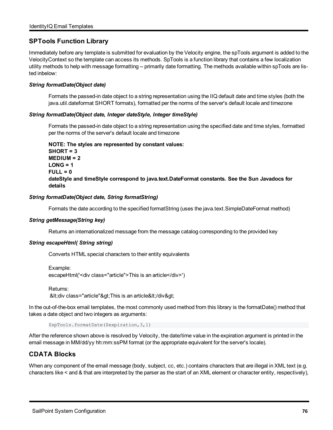## <span id="page-81-0"></span>**SPTools Function Library**

Immediately before any template is submitted for evaluation by the Velocity engine, the spTools argument is added to the VelocityContext so the template can access its methods. SpTools is a function library that contains a few localization utility methods to help with message formatting -- primarily date formatting. The methods available within spTools are listed inbelow:

### *String formatDate(Object date)*

Formats the passed-in date object to a string representation using the IIQ default date and time styles (both the java.util.dateformat SHORT formats), formatted per the norms of the server's default locale and timezone

### *String formatDate(Object date, Integer dateStyle, Integer timeStyle)*

Formats the passed-in date object to a string representation using the specified date and time styles, formatted per the norms of the server's default locale and timezone

## **NOTE: The styles are represented by constant values: SHORT = 3 MEDIUM = 2 LONG = 1 FULL = 0 dateStyle and timeStyle correspond to java.text.DateFormat constants. See the Sun Javadocs for details**

### *String formatDate(Object date, String formatString)*

Formats the date according to the specified formatString (uses the java.text.SimpleDateFormat method)

### *String getMessage(String key)*

Returns an internationalized message from the message catalog corresponding to the provided key

### *String escapeHtml( String string)*

Converts HTML special characters to their entity equivalents

```
Example:
escapeHtml('<div class="article">This is an article</div>')
```
Returns: <div class="article"&gt;This is an article&lt;/div&gt;

In the out-of-the-box email templates, the most commonly used method from this library is the formatDate() method that takes a date object and two integers as arguments:

\$spTools.formatDate(\$expiration,3,1)

After the reference shown above is resolved by Velocity, the date/time value in the expiration argument is printed in the email message in MM/dd/yy hh:mm:ssPM format (or the appropriate equivalent for the server's locale).

## <span id="page-81-1"></span>**CDATA Blocks**

When any component of the email message (body, subject, cc, etc.) contains characters that are illegal in XML text (e.g. characters like < and & that are interpreted by the parser as the start of an XML element or character entity, respectively),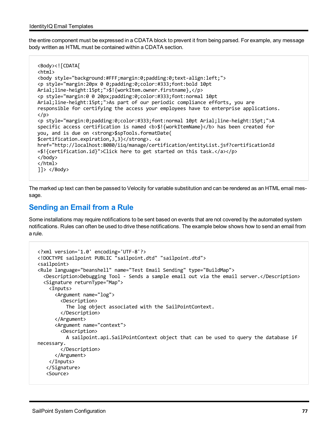the entire component must be expressed in a CDATA block to prevent it from being parsed. For example, any message body written as HTML must be contained within a CDATA section.

```
<Body><![CDATA[
<html>
<body style="background:#FFF;margin:0;padding:0;text-align:left;">
<p style="margin:20px 0 0;padding:0;color:#333;font:bold 10pt
Arial;line-height:15pt;">$!{workItem.owner.firstname},</p>
<p style="margin:0 0 20px;padding:0;color:#333;font:normal 10pt
Arial;line-height:15pt;">As part of our periodic compliance efforts, you are
responsible for certifying the access your employees have to enterprise applications.
\langle/p\rangle<p style="margin:0;padding:0;color:#333;font:normal 10pt Arial;line-height:15pt;">A
specific access certification is named <b>$!{workItemName}</b> has been created for
you, and is due on <strong>$spTools.formatDate(
$certification.expiration,3,3)</strong>. <a
href="http://localhost:8080/iiq/manage/certification/entityList.jsf?certificationId
=$!{certification.id}">Click here to get started on this task.</a></p>
</body>
</html>
]]> </Body>
```
The marked up text can then be passed to Velocity for variable substitution and can be rendered as an HTML email message.

## **Sending an Email from a Rule**

Some installations may require notifications to be sent based on events that are not covered by the automated system notifications. Rules can often be used to drive these notifications. The example below shows how to send an email from a rule.

```
<?xml version='1.0' encoding='UTF-8'?>
<!DOCTYPE sailpoint PUBLIC "sailpoint.dtd" "sailpoint.dtd">
<sailpoint>
<Rule language="beanshell" name="Test Email Sending" type="BuildMap">
    <Description>Debugging Tool - Sends a sample email out via the email server.</Description>
    <Signature returnType="Map">
        <Inputs>
            <Argument name="log">
                 <Description>
                     The log object associated with the SailPointContext.
                 </Description>
             </Argument>
             <Argument name="context">
                 <Description>
                     A sailpoint.api.SailPointContext object that can be used to query the database if
necessary.
                 </Description>
            </Argument>
        </Inputs>
      </Signature>
      <Source>
```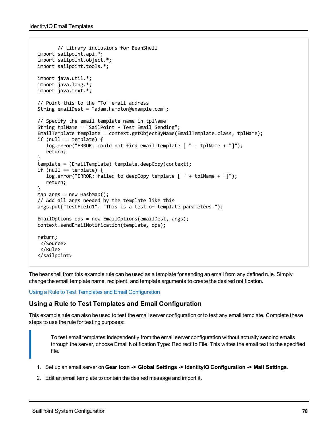```
       // Library inclusions for BeanShell
import sailpoint.api.*;
import sailpoint.object.*;
import sailpoint.tools.*;
import java.util.*;
import java.lang.*;
import java.text.*;
// Point this to the "To" email address
String emailDest = "adam.hampton@example.com";
// Specify the email template name in tplName
String tplName = "SailPoint - Test Email Sending";
EmailTemplate template = context.getObjectByName(EmailTemplate.class, tplName);
if (null == template) \{   log.error("ERROR: could not find email template [ " + tplName + "]");
      return;
}
template = (EmailTemplate) template.deepCopy(context);
if (null == template) \{   log.error("ERROR: failed to deepCopy template [ " + tplName + "]");
      return;
}
Map args = new HashMap();
// Add all args needed by the template like this
args.put("testField1", "This is a test of template parameters.");
EmailOptions ops = new EmailOptions(emailDest, args);
context.sendEmailNotification(template, ops);
return;
  </Source>
  </Rule>
</sailpoint>
```
The beanshell from this example rule can be used as a template for sending an email from any defined rule. Simply change the email template name, recipient, and template arguments to create the desired notification.

<span id="page-83-0"></span>Using a Rule to Test Templates and Email [Configuration](#page-83-0)

## **Using a Rule to Test Templates and Email Configuration**

This example rule can also be used to test the email server configuration or to test any email template. Complete these steps to use the rule for testing purposes:

To test email templates independently from the email server configuration without actually sending emails through the server, choose Email Notification Type: Redirect to File. This writes the email text to the specified file.

- 1. Set up an email server on **Gear icon -> Global Settings -> IdentityIQ Configuration -> Mail Settings**.
- 2. Edit an email template to contain the desired message and import it.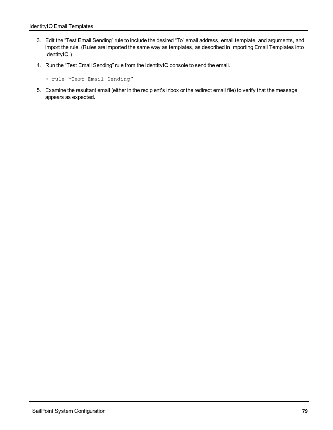- 3. Edit the "Test Email Sending" rule to include the desired "To" email address, email template, and arguments, and import the rule. (Rules are imported the same way as templates, as described in Importing Email Templates into IdentityIQ.)
- 4. Run the "Test Email Sending" rule from the IdentityIQ console to send the email.

```
> rule "Test Email Sending"
```
5. Examine the resultant email (either in the recipient's inbox or the redirect email file) to verify that the message appears as expected.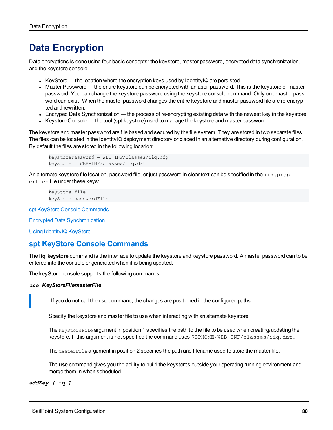# **Data Encryption**

Data encryptions is done using four basic concepts: the keystore, master password, encrypted data synchronization, and the keystore console.

- KeyStore the location where the encryption keys used by IdentityIQ are persisted.
- Master Password the entire keystore can be encrypted with an ascii password. This is the keystore or master password. You can change the keystore password using the keystore console command. Only one master password can exist. When the master password changes the entire keystore and master password file are re-encrypted and rewritten.
- Encryped Data Synchronization the process of re-encrypting existing data with the newest key in the keystore.
- Keystore Console the tool (spt keystore) used to manage the keystore and master password.

The keystore and master password are file based and secured by the file system. They are stored in two separate files. The files can be located in the IdentityIQ deployment directory or placed in an alternative directory during configuration. By default the files are stored in the following location:

```
keystorePassword = WEB-INF/classes/iiq.cfg
keystore = WEB-INF/classes/iiq.dat
```
An alternate keystore file location, password file, or just password in clear text can be specified in the  $\pm iq$ , properties file under these keys:

```
keyStore.file
keyStore.passwordFile
```
spt KeyStore Console [Commands](#page-85-0)

Encrypted Data [Synchronization](#page-86-0)

<span id="page-85-0"></span>Using [IdentityIQ](#page-87-0) KeyStore

## **spt KeyStore Console Commands**

The **iiq keystore** command is the interface to update the keystore and keystore password. A master password can to be entered into the console or generated when it is being updated.

The keyStore console supports the following commands:

### *use KeyStoreFilemasterFile*

If you do not call the use command, the changes are positioned in the configured paths.

Specify the keystore and master file to use when interacting with an alternate keystore.

The keyStoreFile argument in position 1 specifies the path to the file to be used when creating/updating the keystore. If this argument is not specified the command uses \$SPHOME/WEB-INF/classes/iiq.dat.

The master File argument in position 2 specifies the path and filename used to store the master file.

The **use** command gives you the ability to build the keystores outside your operating running environment and merge them in when scheduled.

*addKey [ -q ]*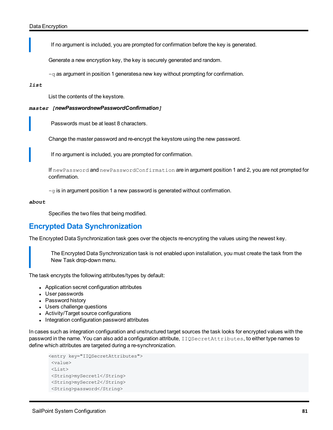If no argument is included, you are prompted for confirmation before the key is generated.

Generate a new encryption key, the key is securely generated and random.

 $-q$  as argument in position 1 generatesa new key without prompting for confirmation.

#### *list*

List the contents of the keystore.

### *master [newPasswordnewPasswordConfirmation]*

Passwords must be at least 8 characters.

Change the master password and re-encrypt the keystore using the new password.

If no argument is included, you are prompted for confirmation.

If newPassword and newPasswordConfirmation are in argument position 1 and 2, you are not prompted for confirmation.

 $-g$  is in argument position 1 a new password is generated without confirmation.

#### *about*

Specifies the two files that being modified.

## <span id="page-86-0"></span>**Encrypted Data Synchronization**

The Encrypted Data Synchronization task goes over the objects re-encrypting the values using the newest key.

The Encrypted Data Synchronization task is not enabled upon installation, you must create the task from the New Task drop-down menu.

The task encrypts the following attributes/types by default:

- Application secret configuration attributes
- User passwords
- Password history
- Users challenge questions
- Activity/Target source configurations
- Integration configuration password attributes

In cases such as integration configuration and unstructured target sources the task looks for encrypted values with the password in the name. You can also add a configuration attribute, IIQSecretAttributes, to either type names to define which attributes are targeted during a re-synchronization.

```
<entry key="IIQSecretAttributes">
<value>
\langleList\rangle<String>mySecret1</String>
<String>mySecret2</String>
<String>password</String>
```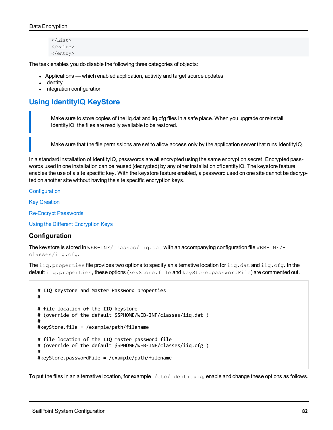```
\langle/List>
</value>
</entry>
```
The task enables you do disable the following three categories of objects:

- Applications which enabled application, activity and target source updates
- Identity
- Integration configuration

## <span id="page-87-0"></span>**Using IdentityIQ KeyStore**

Make sure to store copies of the iiq.dat and iiq.cfg files in a safe place. When you upgrade or reinstall IdentityIQ, the files are readily available to be restored.

Make sure that the file permissions are set to allow access only by the application server that runs IdentityIQ.

In a standard installation of IdentityIQ, passwords are all encrypted using the same encryption secret. Encrypted passwords used in one installation can be reused (decrypted) by any other installation ofIdentityIQ. The keystore feature enables the use of a site specific key. With the keystore feature enabled, a password used on one site cannot be decrypted on another site without having the site specific encryption keys.

**[Configuration](#page-87-1)** 

Key [Creation](#page-88-0)

[Re-Encrypt](#page-89-0) Passwords

<span id="page-87-1"></span>Using the Different [Encryption](#page-89-1) Keys

## **Configuration**

The keystore is stored in WEB-INF/classes/iiq.dat with an accompanying configuration file WEB-INF/classes/iiq.cfg.

The  $\text{iiq},\text{properties}$  file provides two options to specify an alternative location for  $\text{iiq}.$  dat and  $\text{iiq.cfg.}$  In the default iig.properties, these options (keyStore.file and keyStore.passwordFile) are commented out.

```
# IIQ Keystore and Master Password properties    
#  
# file location of the IIQ keystore  
# (override of the default $SPHOME/WEB-INF/classes/iiq.dat )  
#  
#keyStore.file = /example/path/filename  
# file location of the IIQ master password file  
# (override of the default $SPHOME/WEB-INF/classes/iiq.cfg )  
#  
#keyStore.passwordFile = /example/path/filename
```
To put the files in an alternative location, for example  $/etc/jdentityiq$ , enable and change these options as follows.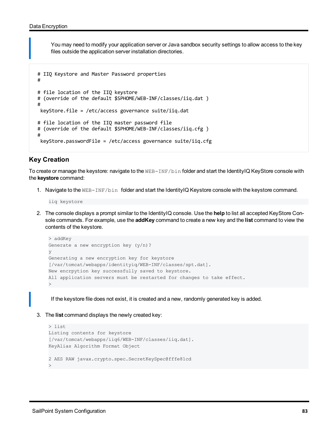You may need to modify your application server or Java sandbox security settings to allow access to the key files outside the application server installation directories.

```
# IIQ Keystore and Master Password properties    
#  
# file location of the IIQ keystore  
# (override of the default $SPHOME/WEB-INF/classes/iiq.dat )  
#  
  keyStore.file = /etc/access governance suite/iiq.dat  
# file location of the IIQ master password file  
# (override of the default $SPHOME/WEB-INF/classes/iiq.cfg )  
#  
  keyStore.passwordFile = /etc/access governance suite/iiq.cfg
```
## <span id="page-88-0"></span>**Key Creation**

To create or manage the keystore: navigate to the WEB-INF/bin folder and start the IdentityIQ KeyStore console with the **keystore** command:

1. Navigate to the WEB-INF/bin folder and start the IdentityIQ Keystore console with the keystore command.

iiq keystore

2. The console displays a prompt similar to the IdentityIQ console. Use the **help** to list all accepted KeyStore Console commands. For example, use the **addKey** command to create a new key and the **list** command to view the contents of the keystore.

```
> addKey
Generate a new encryption key (y/n)?
y
Generating a new encryption key for keystore
[/var/tomcat/webapps/identityiq/WEB-INF/classes/spt.dat].
New encrpytion key successfully saved to keystore.
All application servers must be restarted for changes to take effect.
>
```
If the keystore file does not exist, it is created and a new, randomly generated key is added.

3. The **list** command displays the newly created key:

```
> list
Listing contents for keystore
[/var/tomcat/webapps/iiq6/WEB-INF/classes/iiq.dat].
KeyAlias Algorithm Format Object
2 AES RAW javax.crypto.spec.SecretKeySpec@fffe81cd
>
```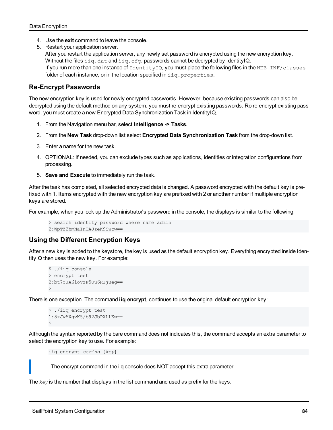- 4. Use the **exit** command to leave the console.
- 5. Restart your application server.
	- After you restart the application server, any newly set password is encrypted using the new encryption key. Without the files  $\text{sig.dat}$  and  $\text{sig.cfg}$ , passwords cannot be decrypted by IdentityIQ. If you run more than one instance of IdentityIQ, you must place the following files in the WEB-INF/classes folder of each instance, or in the location specified in  $\text{iiq}, \text{properties}.$

## <span id="page-89-0"></span>**Re-Encrypt Passwords**

The new encryption key is used for newly encrypted passwords. However, because existing passwords can also be decrypted using the default method on any system, you must re-encrypt existing passwords. Ro re-encrypt existing password, you must create a new Encrypted Data Synchronization Task in IdentityIQ.

- 1. From the Navigation menu bar, select **Intelligence -> Tasks**.
- 2. From the **New Task** drop-down list select **Encrypted Data Synchronization Task** from the drop-down list.
- 3. Enter a name for the new task.
- 4. OPTIONAL: If needed, you can exclude types such as applications, identities or integration configurations from processing.
- 5. **Save and Execute** to immediately run the task.

After the task has completed, all selected encrypted data is changed. A password encrypted with the default key is prefixed with 1. Items encrypted with the new encryption key are prefixed with 2 or another number if multiple encryption keys are stored.

For example, when you look up the Administrator's password in the console, the displays is similar to the following:

```
> search identity password where name admin
2:WpTZ2hmNaInTAJzeK9Swcw==
```
## <span id="page-89-1"></span>**Using the Different Encryption Keys**

After a new key is added to the keystore, the key is used as the default encryption key. Everything encrypted inside IdentityIQ then uses the new key. For example:

```
$ ./iiq console
> encrypt test
2:bt7YJA6iovzF5Uu6RIjueg==
>
```
There is one exception. The command **iiq encrypt**, continues to use the original default encryption key:

```
$ ./iiq encrypt test
1:8zJwAXqvK5/b92JbPXLLKw==
$
```
Although the syntax reported by the bare command does not indicates this, the command accepts an extra parameter to select the encryption key to use. For example:

iiq encrypt *string* [*key*]

The encrypt command in the iiq console does NOT accept this extra parameter.

The *key* is the number that displays in the list command and used as prefix for the keys.